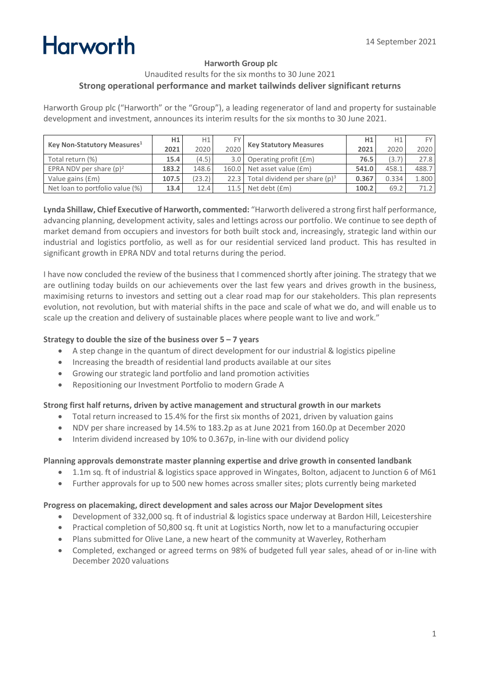# **Harworth**

#### **Harworth Group plc**

#### Unaudited results for the six months to 30 June 2021 **Strong operational performance and market tailwinds deliver significant returns**

Harworth Group plc ("Harworth" or the "Group"), a leading regenerator of land and property for sustainable development and investment, announces its interim results for the six months to 30 June 2021.

|                                         | H1    | H1     |      |                                  | H1    | H1    | FY I  |
|-----------------------------------------|-------|--------|------|----------------------------------|-------|-------|-------|
| Key Non-Statutory Measures <sup>1</sup> | 2021  | 2020   | 2020 | <b>Key Statutory Measures</b>    | 2021  | 2020  | 2020  |
| Total return (%)                        | 15.4  | (4.5)  |      | 3.0 Operating profit (£m)        | 76.5  | (3.7) | 27.8  |
| EPRA NDV per share $(p)^2$              | 183.2 | 148.6  |      | 160.0 Net asset value (£m)       | 541.0 | 458.1 | 488.7 |
| Value gains (£m)                        | 107.5 | (23.2) | 22.3 | Total dividend per share $(p)^3$ | 0.367 | 0.334 | 1.800 |
| Net loan to portfolio value (%)         | 13.4  | 12.4   | 11.5 | Net debt (£m)                    | 100.2 | 69.2  | 71.2  |

**Lynda Shillaw, Chief Executive of Harworth, commented:** "Harworth delivered a strong first half performance, advancing planning, development activity, sales and lettings across our portfolio. We continue to see depth of market demand from occupiers and investors for both built stock and, increasingly, strategic land within our industrial and logistics portfolio, as well as for our residential serviced land product. This has resulted in significant growth in EPRA NDV and total returns during the period.

I have now concluded the review of the business that I commenced shortly after joining. The strategy that we are outlining today builds on our achievements over the last few years and drives growth in the business, maximising returns to investors and setting out a clear road map for our stakeholders. This plan represents evolution, not revolution, but with material shifts in the pace and scale of what we do, and will enable us to scale up the creation and delivery of sustainable places where people want to live and work."

#### **Strategy to double the size of the business over 5 – 7 years**

- A step change in the quantum of direct development for our industrial & logistics pipeline
- Increasing the breadth of residential land products available at our sites
- Growing our strategic land portfolio and land promotion activities
- Repositioning our Investment Portfolio to modern Grade A

#### **Strong first half returns, driven by active management and structural growth in our markets**

- Total return increased to 15.4% for the first six months of 2021, driven by valuation gains
- NDV per share increased by 14.5% to 183.2p as at June 2021 from 160.0p at December 2020
- Interim dividend increased by 10% to 0.367p, in-line with our dividend policy

#### **Planning approvals demonstrate master planning expertise and drive growth in consented landbank**

- 1.1m sq. ft of industrial & logistics space approved in Wingates, Bolton, adjacent to Junction 6 of M61
- Further approvals for up to 500 new homes across smaller sites; plots currently being marketed

#### **Progress on placemaking, direct development and sales across our Major Development sites**

- Development of 332,000 sq. ft of industrial & logistics space underway at Bardon Hill, Leicestershire
- Practical completion of 50,800 sq. ft unit at Logistics North, now let to a manufacturing occupier
- Plans submitted for Olive Lane, a new heart of the community at Waverley, Rotherham
- Completed, exchanged or agreed terms on 98% of budgeted full year sales, ahead of or in-line with December 2020 valuations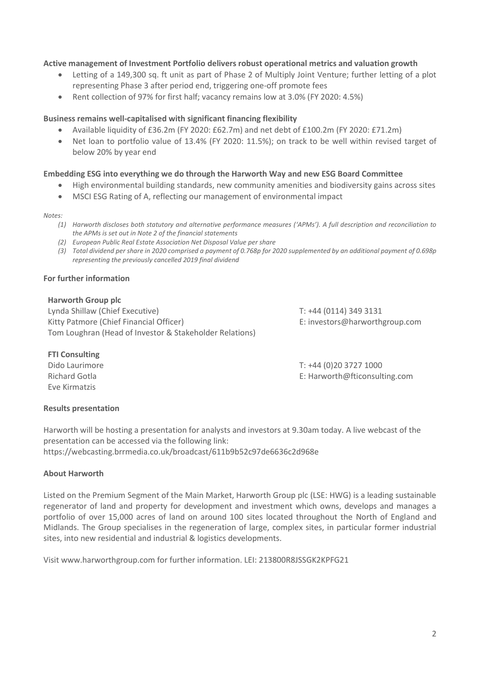#### **Active management of Investment Portfolio delivers robust operational metrics and valuation growth**

- Letting of a 149,300 sq. ft unit as part of Phase 2 of Multiply Joint Venture; further letting of a plot representing Phase 3 after period end, triggering one-off promote fees
- Rent collection of 97% for first half; vacancy remains low at 3.0% (FY 2020: 4.5%)

#### **Business remains well-capitalised with significant financing flexibility**

- Available liquidity of £36.2m (FY 2020: £62.7m) and net debt of £100.2m (FY 2020: £71.2m)
- Net loan to portfolio value of 13.4% (FY 2020: 11.5%); on track to be well within revised target of below 20% by year end

#### **Embedding ESG into everything we do through the Harworth Way and new ESG Board Committee**

- High environmental building standards, new community amenities and biodiversity gains across sites
- MSCI ESG Rating of A, reflecting our management of environmental impact

#### *Notes:*

- *(1) Harworth discloses both statutory and alternative performance measures ('APMs'). A full description and reconciliation to the APMs is set out in Note 2 of the financial statements*
- *(2) European Public Real Estate Association Net Disposal Value per share*
- *(3) Total dividend per share in 2020 comprised a payment of 0.768p for 2020 supplemented by an additional payment of 0.698p representing the previously cancelled 2019 final dividend*

#### **For further information**

#### **Harworth Group plc**

Lynda Shillaw (Chief Executive) Kitty Patmore (Chief Financial Officer) Tom Loughran (Head of Investor & Stakeholder Relations)

T: +44 (0114) 349 3131 E: investors@harworthgroup.com

#### **FTI Consulting**

Dido Laurimore Richard Gotla Eve Kirmatzis

T: +44 (0)20 3727 1000 E: Harworth@fticonsulting.com

#### **Results presentation**

Harworth will be hosting a presentation for analysts and investors at 9.30am today. A live webcast of the presentation can be accessed via the following link: https://webcasting.brrmedia.co.uk/broadcast/611b9b52c97de6636c2d968e

#### **About Harworth**

Listed on the Premium Segment of the Main Market, Harworth Group plc (LSE: HWG) is a leading sustainable regenerator of land and property for development and investment which owns, develops and manages a portfolio of over 15,000 acres of land on around 100 sites located throughout the North of England and Midlands. The Group specialises in the regeneration of large, complex sites, in particular former industrial sites, into new residential and industrial & logistics developments.

Visit www.harworthgroup.com for further information. LEI: 213800R8JSSGK2KPFG21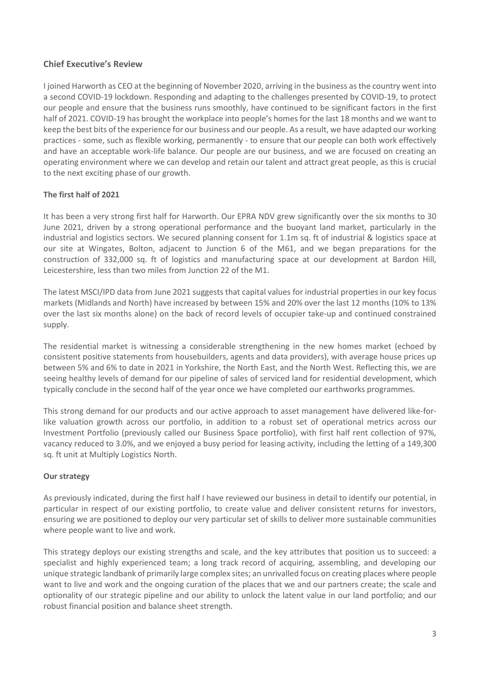#### **Chief Executive's Review**

I joined Harworth as CEO at the beginning of November 2020, arriving in the business as the country went into a second COVID-19 lockdown. Responding and adapting to the challenges presented by COVID-19, to protect our people and ensure that the business runs smoothly, have continued to be significant factors in the first half of 2021. COVID-19 has brought the workplace into people's homes for the last 18 months and we want to keep the best bits of the experience for our business and our people. As a result, we have adapted our working practices - some, such as flexible working, permanently - to ensure that our people can both work effectively and have an acceptable work-life balance. Our people are our business, and we are focused on creating an operating environment where we can develop and retain our talent and attract great people, as this is crucial to the next exciting phase of our growth.

#### **The first half of 2021**

It has been a very strong first half for Harworth. Our EPRA NDV grew significantly over the six months to 30 June 2021, driven by a strong operational performance and the buoyant land market, particularly in the industrial and logistics sectors. We secured planning consent for 1.1m sq. ft of industrial & logistics space at our site at Wingates, Bolton, adjacent to Junction 6 of the M61, and we began preparations for the construction of 332,000 sq. ft of logistics and manufacturing space at our development at Bardon Hill, Leicestershire, less than two miles from Junction 22 of the M1.

The latest MSCI/IPD data from June 2021 suggests that capital values for industrial properties in our key focus markets (Midlands and North) have increased by between 15% and 20% over the last 12 months (10% to 13% over the last six months alone) on the back of record levels of occupier take-up and continued constrained supply.

The residential market is witnessing a considerable strengthening in the new homes market (echoed by consistent positive statements from housebuilders, agents and data providers), with average house prices up between 5% and 6% to date in 2021 in Yorkshire, the North East, and the North West. Reflecting this, we are seeing healthy levels of demand for our pipeline of sales of serviced land for residential development, which typically conclude in the second half of the year once we have completed our earthworks programmes.

This strong demand for our products and our active approach to asset management have delivered like-forlike valuation growth across our portfolio, in addition to a robust set of operational metrics across our Investment Portfolio (previously called our Business Space portfolio), with first half rent collection of 97%, vacancy reduced to 3.0%, and we enjoyed a busy period for leasing activity, including the letting of a 149,300 sq. ft unit at Multiply Logistics North.

#### **Our strategy**

As previously indicated, during the first half I have reviewed our business in detail to identify our potential, in particular in respect of our existing portfolio, to create value and deliver consistent returns for investors, ensuring we are positioned to deploy our very particular set of skills to deliver more sustainable communities where people want to live and work.

This strategy deploys our existing strengths and scale, and the key attributes that position us to succeed: a specialist and highly experienced team; a long track record of acquiring, assembling, and developing our unique strategic landbank of primarily large complex sites; an unrivalled focus on creating places where people want to live and work and the ongoing curation of the places that we and our partners create; the scale and optionality of our strategic pipeline and our ability to unlock the latent value in our land portfolio; and our robust financial position and balance sheet strength.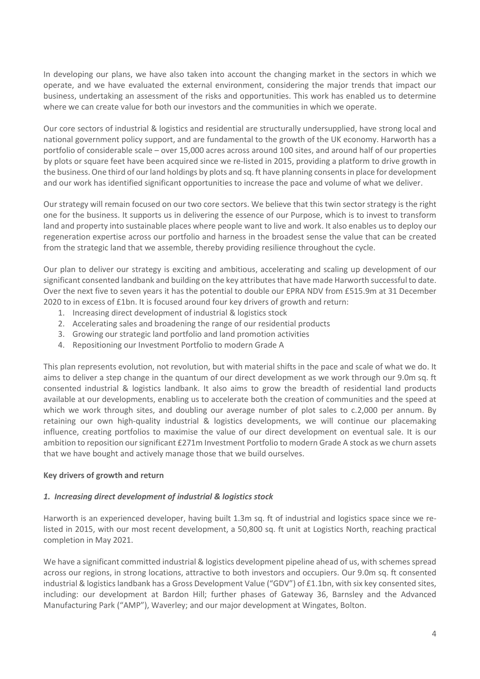In developing our plans, we have also taken into account the changing market in the sectors in which we operate, and we have evaluated the external environment, considering the major trends that impact our business, undertaking an assessment of the risks and opportunities. This work has enabled us to determine where we can create value for both our investors and the communities in which we operate.

Our core sectors of industrial & logistics and residential are structurally undersupplied, have strong local and national government policy support, and are fundamental to the growth of the UK economy. Harworth has a portfolio of considerable scale – over 15,000 acres across around 100 sites, and around half of our properties by plots or square feet have been acquired since we re-listed in 2015, providing a platform to drive growth in the business. One third of our land holdings by plots and sq. ft have planning consents in place for development and our work has identified significant opportunities to increase the pace and volume of what we deliver.

Our strategy will remain focused on our two core sectors. We believe that this twin sector strategy is the right one for the business. It supports us in delivering the essence of our Purpose, which is to invest to transform land and property into sustainable places where people want to live and work. It also enables us to deploy our regeneration expertise across our portfolio and harness in the broadest sense the value that can be created from the strategic land that we assemble, thereby providing resilience throughout the cycle.

Our plan to deliver our strategy is exciting and ambitious, accelerating and scaling up development of our significant consented landbank and building on the key attributes that have made Harworth successful to date. Over the next five to seven years it has the potential to double our EPRA NDV from £515.9m at 31 December 2020 to in excess of £1bn. It is focused around four key drivers of growth and return:

- 1. Increasing direct development of industrial & logistics stock
- 2. Accelerating sales and broadening the range of our residential products
- 3. Growing our strategic land portfolio and land promotion activities
- 4. Repositioning our Investment Portfolio to modern Grade A

This plan represents evolution, not revolution, but with material shifts in the pace and scale of what we do. It aims to deliver a step change in the quantum of our direct development as we work through our 9.0m sq. ft consented industrial & logistics landbank. It also aims to grow the breadth of residential land products available at our developments, enabling us to accelerate both the creation of communities and the speed at which we work through sites, and doubling our average number of plot sales to c.2,000 per annum. By retaining our own high-quality industrial & logistics developments, we will continue our placemaking influence, creating portfolios to maximise the value of our direct development on eventual sale. It is our ambition to reposition our significant £271m Investment Portfolio to modern Grade A stock as we churn assets that we have bought and actively manage those that we build ourselves.

#### **Key drivers of growth and return**

#### *1. Increasing direct development of industrial & logistics stock*

Harworth is an experienced developer, having built 1.3m sq. ft of industrial and logistics space since we relisted in 2015, with our most recent development, a 50,800 sq. ft unit at Logistics North, reaching practical completion in May 2021.

We have a significant committed industrial & logistics development pipeline ahead of us, with schemes spread across our regions, in strong locations, attractive to both investors and occupiers. Our 9.0m sq. ft consented industrial & logistics landbank has a Gross Development Value ("GDV") of £1.1bn, with six key consented sites, including: our development at Bardon Hill; further phases of Gateway 36, Barnsley and the Advanced Manufacturing Park ("AMP"), Waverley; and our major development at Wingates, Bolton.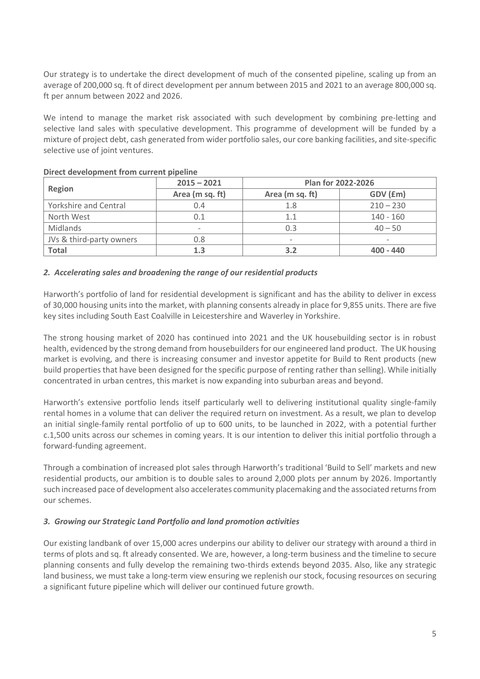Our strategy is to undertake the direct development of much of the consented pipeline, scaling up from an average of 200,000 sq. ft of direct development per annum between 2015 and 2021 to an average 800,000 sq. ft per annum between 2022 and 2026.

We intend to manage the market risk associated with such development by combining pre-letting and selective land sales with speculative development. This programme of development will be funded by a mixture of project debt, cash generated from wider portfolio sales, our core banking facilities, and site-specific selective use of joint ventures.

|                          | $2015 - 2021$            | Plan for 2022-2026       |                 |  |  |
|--------------------------|--------------------------|--------------------------|-----------------|--|--|
| <b>Region</b>            | Area (m sq. ft)          | Area (m sq. ft)          | GDV (£m)        |  |  |
| Yorkshire and Central    | 0.4                      | 1.8                      | $210 - 230$     |  |  |
| North West               | 0.1                      | 1.1                      | $140 - 160$     |  |  |
| Midlands                 | $\overline{\phantom{a}}$ | 0.3                      | $40 - 50$       |  |  |
| JVs & third-party owners | 0.8                      | $\overline{\phantom{a}}$ | $\qquad \qquad$ |  |  |
| <b>Total</b>             | 1.3                      | 3.2                      | $400 - 440$     |  |  |

#### **Direct development from current pipeline**

#### *2. Accelerating sales and broadening the range of our residential products*

Harworth's portfolio of land for residential development is significant and has the ability to deliver in excess of 30,000 housing units into the market, with planning consents already in place for 9,855 units. There are five key sites including South East Coalville in Leicestershire and Waverley in Yorkshire.

The strong housing market of 2020 has continued into 2021 and the UK housebuilding sector is in robust health, evidenced by the strong demand from housebuilders for our engineered land product. The UK housing market is evolving, and there is increasing consumer and investor appetite for Build to Rent products (new build properties that have been designed for the specific purpose of renting rather than selling). While initially concentrated in urban centres, this market is now expanding into suburban areas and beyond.

Harworth's extensive portfolio lends itself particularly well to delivering institutional quality single-family rental homes in a volume that can deliver the required return on investment. As a result, we plan to develop an initial single-family rental portfolio of up to 600 units, to be launched in 2022, with a potential further c.1,500 units across our schemes in coming years. It is our intention to deliver this initial portfolio through a forward-funding agreement.

Through a combination of increased plot sales through Harworth's traditional 'Build to Sell' markets and new residential products, our ambition is to double sales to around 2,000 plots per annum by 2026. Importantly such increased pace of development also accelerates community placemaking and the associated returns from our schemes.

#### *3. Growing our Strategic Land Portfolio and land promotion activities*

Our existing landbank of over 15,000 acres underpins our ability to deliver our strategy with around a third in terms of plots and sq. ft already consented. We are, however, a long-term business and the timeline to secure planning consents and fully develop the remaining two-thirds extends beyond 2035. Also, like any strategic land business, we must take a long-term view ensuring we replenish our stock, focusing resources on securing a significant future pipeline which will deliver our continued future growth.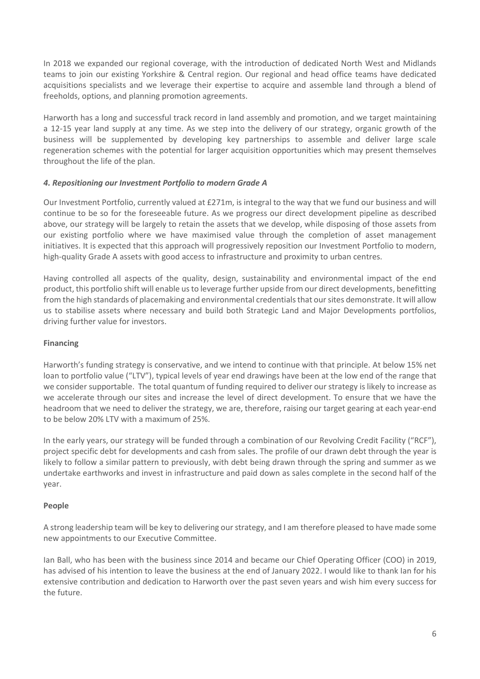In 2018 we expanded our regional coverage, with the introduction of dedicated North West and Midlands teams to join our existing Yorkshire & Central region. Our regional and head office teams have dedicated acquisitions specialists and we leverage their expertise to acquire and assemble land through a blend of freeholds, options, and planning promotion agreements.

Harworth has a long and successful track record in land assembly and promotion, and we target maintaining a 12-15 year land supply at any time. As we step into the delivery of our strategy, organic growth of the business will be supplemented by developing key partnerships to assemble and deliver large scale regeneration schemes with the potential for larger acquisition opportunities which may present themselves throughout the life of the plan.

#### *4. Repositioning our Investment Portfolio to modern Grade A*

Our Investment Portfolio, currently valued at £271m, is integral to the way that we fund our business and will continue to be so for the foreseeable future. As we progress our direct development pipeline as described above, our strategy will be largely to retain the assets that we develop, while disposing of those assets from our existing portfolio where we have maximised value through the completion of asset management initiatives. It is expected that this approach will progressively reposition our Investment Portfolio to modern, high-quality Grade A assets with good access to infrastructure and proximity to urban centres.

Having controlled all aspects of the quality, design, sustainability and environmental impact of the end product, this portfolio shift will enable us to leverage further upside from our direct developments, benefitting from the high standards of placemaking and environmental credentials that our sites demonstrate. It will allow us to stabilise assets where necessary and build both Strategic Land and Major Developments portfolios, driving further value for investors.

#### **Financing**

Harworth's funding strategy is conservative, and we intend to continue with that principle. At below 15% net loan to portfolio value ("LTV"), typical levels of year end drawings have been at the low end of the range that we consider supportable. The total quantum of funding required to deliver our strategy is likely to increase as we accelerate through our sites and increase the level of direct development. To ensure that we have the headroom that we need to deliver the strategy, we are, therefore, raising our target gearing at each year-end to be below 20% LTV with a maximum of 25%.

In the early years, our strategy will be funded through a combination of our Revolving Credit Facility ("RCF"), project specific debt for developments and cash from sales. The profile of our drawn debt through the year is likely to follow a similar pattern to previously, with debt being drawn through the spring and summer as we undertake earthworks and invest in infrastructure and paid down as sales complete in the second half of the year.

#### **People**

A strong leadership team will be key to delivering our strategy, and I am therefore pleased to have made some new appointments to our Executive Committee.

Ian Ball, who has been with the business since 2014 and became our Chief Operating Officer (COO) in 2019, has advised of his intention to leave the business at the end of January 2022. I would like to thank Ian for his extensive contribution and dedication to Harworth over the past seven years and wish him every success for the future.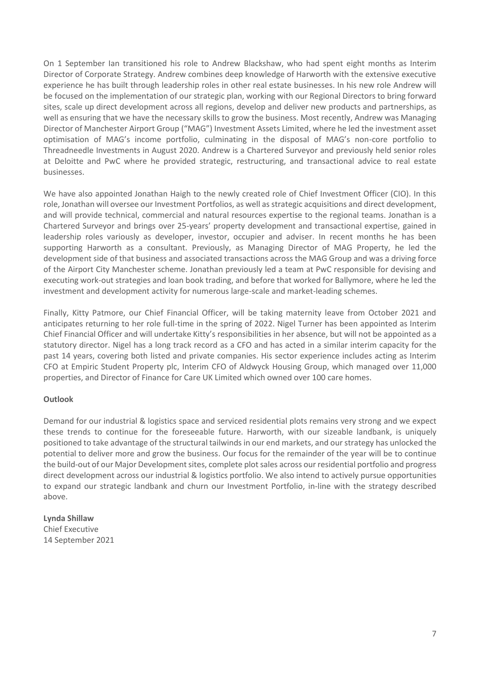On 1 September Ian transitioned his role to Andrew Blackshaw, who had spent eight months as Interim Director of Corporate Strategy. Andrew combines deep knowledge of Harworth with the extensive executive experience he has built through leadership roles in other real estate businesses. In his new role Andrew will be focused on the implementation of our strategic plan, working with our Regional Directors to bring forward sites, scale up direct development across all regions, develop and deliver new products and partnerships, as well as ensuring that we have the necessary skills to grow the business. Most recently, Andrew was Managing Director of Manchester Airport Group ("MAG") Investment Assets Limited, where he led the investment asset optimisation of MAG's income portfolio, culminating in the disposal of MAG's non-core portfolio to Threadneedle Investments in August 2020. Andrew is a Chartered Surveyor and previously held senior roles at Deloitte and PwC where he provided strategic, restructuring, and transactional advice to real estate businesses.

We have also appointed Jonathan Haigh to the newly created role of Chief Investment Officer (CIO). In this role, Jonathan will oversee our Investment Portfolios, as well asstrategic acquisitions and direct development, and will provide technical, commercial and natural resources expertise to the regional teams. Jonathan is a Chartered Surveyor and brings over 25-years' property development and transactional expertise, gained in leadership roles variously as developer, investor, occupier and adviser. In recent months he has been supporting Harworth as a consultant. Previously, as Managing Director of MAG Property, he led the development side of that business and associated transactions across the MAG Group and was a driving force of the Airport City Manchester scheme. Jonathan previously led a team at PwC responsible for devising and executing work-out strategies and loan book trading, and before that worked for Ballymore, where he led the investment and development activity for numerous large-scale and market-leading schemes.

Finally, Kitty Patmore, our Chief Financial Officer, will be taking maternity leave from October 2021 and anticipates returning to her role full-time in the spring of 2022. Nigel Turner has been appointed as Interim Chief Financial Officer and will undertake Kitty's responsibilities in her absence, but will not be appointed as a statutory director. Nigel has a long track record as a CFO and has acted in a similar interim capacity for the past 14 years, covering both listed and private companies. His sector experience includes acting as Interim CFO at Empiric Student Property plc, Interim CFO of Aldwyck Housing Group, which managed over 11,000 properties, and Director of Finance for Care UK Limited which owned over 100 care homes.

#### **Outlook**

Demand for our industrial & logistics space and serviced residential plots remains very strong and we expect these trends to continue for the foreseeable future. Harworth, with our sizeable landbank, is uniquely positioned to take advantage of the structural tailwinds in our end markets, and our strategy has unlocked the potential to deliver more and grow the business. Our focus for the remainder of the year will be to continue the build-out of our Major Development sites, complete plotsales across our residential portfolio and progress direct development across our industrial & logistics portfolio. We also intend to actively pursue opportunities to expand our strategic landbank and churn our Investment Portfolio, in-line with the strategy described above.

**Lynda Shillaw** Chief Executive 14 September 2021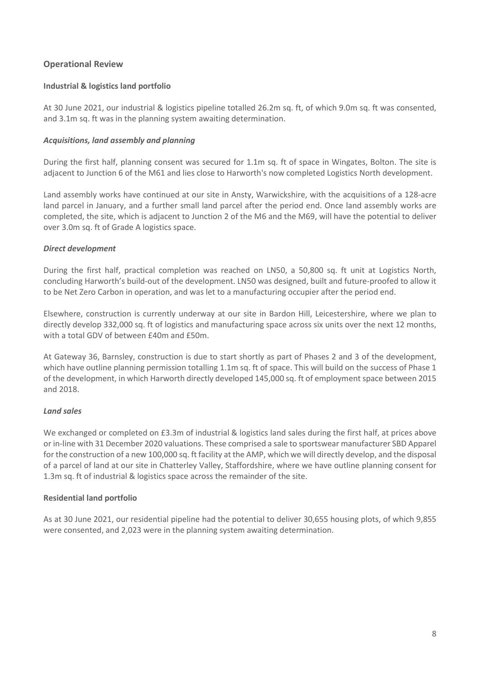#### **Operational Review**

#### **Industrial & logistics land portfolio**

At 30 June 2021, our industrial & logistics pipeline totalled 26.2m sq. ft, of which 9.0m sq. ft was consented, and 3.1m sq. ft was in the planning system awaiting determination.

#### *Acquisitions, land assembly and planning*

During the first half, planning consent was secured for 1.1m sq. ft of space in Wingates, Bolton. The site is adjacent to Junction 6 of the M61 and lies close to Harworth's now completed Logistics North development.

Land assembly works have continued at our site in Ansty, Warwickshire, with the acquisitions of a 128-acre land parcel in January, and a further small land parcel after the period end. Once land assembly works are completed, the site, which is adjacent to Junction 2 of the M6 and the M69, will have the potential to deliver over 3.0m sq. ft of Grade A logistics space.

#### *Direct development*

During the first half, practical completion was reached on LN50, a 50,800 sq. ft unit at Logistics North, concluding Harworth's build-out of the development. LN50 was designed, built and future-proofed to allow it to be Net Zero Carbon in operation, and was let to a manufacturing occupier after the period end.

Elsewhere, construction is currently underway at our site in Bardon Hill, Leicestershire, where we plan to directly develop 332,000 sq. ft of logistics and manufacturing space across six units over the next 12 months, with a total GDV of between £40m and £50m.

At Gateway 36, Barnsley, construction is due to start shortly as part of Phases 2 and 3 of the development, which have outline planning permission totalling 1.1m sq. ft of space. This will build on the success of Phase 1 of the development, in which Harworth directly developed 145,000 sq. ft of employment space between 2015 and 2018.

#### *Land sales*

We exchanged or completed on £3.3m of industrial & logistics land sales during the first half, at prices above or in-line with 31 December 2020 valuations. These comprised a sale to sportswear manufacturer SBD Apparel for the construction of a new 100,000 sq. ft facility at the AMP, which we will directly develop, and the disposal of a parcel of land at our site in Chatterley Valley, Staffordshire, where we have outline planning consent for 1.3m sq. ft of industrial & logistics space across the remainder of the site.

#### **Residential land portfolio**

As at 30 June 2021, our residential pipeline had the potential to deliver 30,655 housing plots, of which 9,855 were consented, and 2,023 were in the planning system awaiting determination.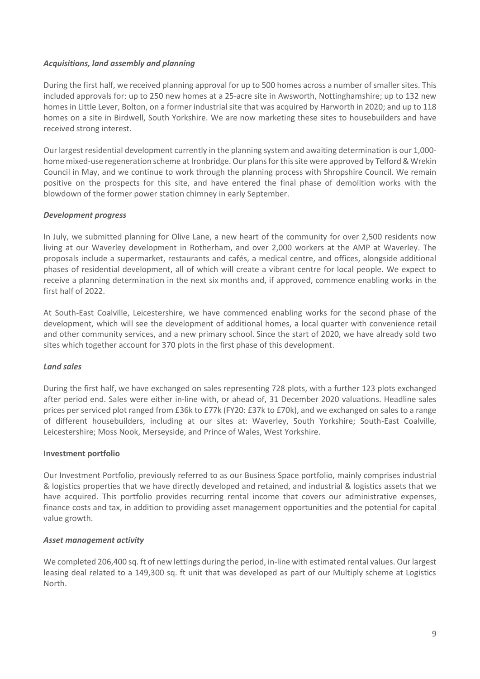#### *Acquisitions, land assembly and planning*

During the first half, we received planning approval for up to 500 homes across a number of smaller sites. This included approvals for: up to 250 new homes at a 25-acre site in Awsworth, Nottinghamshire; up to 132 new homes in Little Lever, Bolton, on a former industrial site that was acquired by Harworth in 2020; and up to 118 homes on a site in Birdwell, South Yorkshire. We are now marketing these sites to housebuilders and have received strong interest.

Our largest residential development currently in the planning system and awaiting determination is our 1,000 home mixed-use regeneration scheme at Ironbridge. Our plans for this site were approved by Telford & Wrekin Council in May, and we continue to work through the planning process with Shropshire Council. We remain positive on the prospects for this site, and have entered the final phase of demolition works with the blowdown of the former power station chimney in early September.

#### *Development progress*

In July, we submitted planning for Olive Lane, a new heart of the community for over 2,500 residents now living at our Waverley development in Rotherham, and over 2,000 workers at the AMP at Waverley. The proposals include a supermarket, restaurants and cafés, a medical centre, and offices, alongside additional phases of residential development, all of which will create a vibrant centre for local people. We expect to receive a planning determination in the next six months and, if approved, commence enabling works in the first half of 2022.

At South-East Coalville, Leicestershire, we have commenced enabling works for the second phase of the development, which will see the development of additional homes, a local quarter with convenience retail and other community services, and a new primary school. Since the start of 2020, we have already sold two sites which together account for 370 plots in the first phase of this development.

#### *Land sales*

During the first half, we have exchanged on sales representing 728 plots, with a further 123 plots exchanged after period end. Sales were either in-line with, or ahead of, 31 December 2020 valuations. Headline sales prices per serviced plot ranged from £36k to £77k (FY20: £37k to £70k), and we exchanged on sales to a range of different housebuilders, including at our sites at: Waverley, South Yorkshire; South-East Coalville, Leicestershire; Moss Nook, Merseyside, and Prince of Wales, West Yorkshire.

#### **Investment portfolio**

Our Investment Portfolio, previously referred to as our Business Space portfolio, mainly comprises industrial & logistics properties that we have directly developed and retained, and industrial & logistics assets that we have acquired. This portfolio provides recurring rental income that covers our administrative expenses, finance costs and tax, in addition to providing asset management opportunities and the potential for capital value growth.

#### *Asset management activity*

We completed 206,400 sq. ft of new lettings during the period, in-line with estimated rental values. Our largest leasing deal related to a 149,300 sq. ft unit that was developed as part of our Multiply scheme at Logistics North.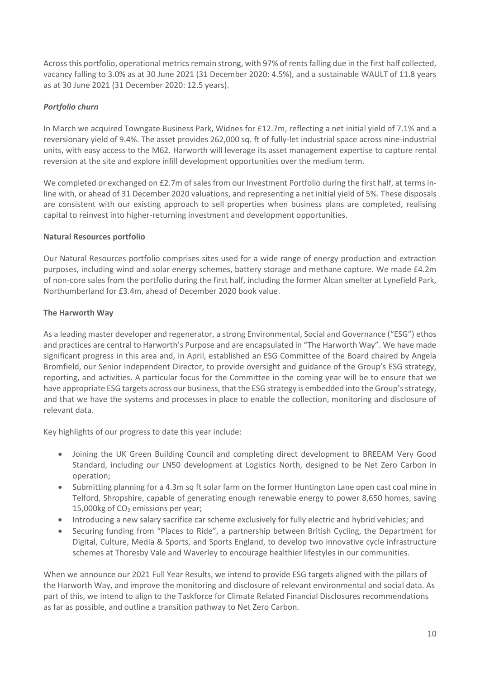Across this portfolio, operational metrics remain strong, with 97% of rents falling due in the first half collected, vacancy falling to 3.0% as at 30 June 2021 (31 December 2020: 4.5%), and a sustainable WAULT of 11.8 years as at 30 June 2021 (31 December 2020: 12.5 years).

#### *Portfolio churn*

In March we acquired Towngate Business Park, Widnes for £12.7m, reflecting a net initial yield of 7.1% and a reversionary yield of 9.4%. The asset provides 262,000 sq. ft of fully-let industrial space across nine-industrial units, with easy access to the M62. Harworth will leverage its asset management expertise to capture rental reversion at the site and explore infill development opportunities over the medium term.

We completed or exchanged on £2.7m of sales from our Investment Portfolio during the first half, at terms inline with, or ahead of 31 December 2020 valuations, and representing a net initial yield of 5%. These disposals are consistent with our existing approach to sell properties when business plans are completed, realising capital to reinvest into higher-returning investment and development opportunities.

#### **Natural Resources portfolio**

Our Natural Resources portfolio comprises sites used for a wide range of energy production and extraction purposes, including wind and solar energy schemes, battery storage and methane capture. We made £4.2m of non-core sales from the portfolio during the first half, including the former Alcan smelter at Lynefield Park, Northumberland for £3.4m, ahead of December 2020 book value.

#### **The Harworth Way**

As a leading master developer and regenerator, a strong Environmental, Social and Governance ("ESG") ethos and practices are central to Harworth's Purpose and are encapsulated in "The Harworth Way". We have made significant progress in this area and, in April, established an ESG Committee of the Board chaired by Angela Bromfield, our Senior Independent Director, to provide oversight and guidance of the Group's ESG strategy, reporting, and activities. A particular focus for the Committee in the coming year will be to ensure that we have appropriate ESG targets across our business, that the ESG strategy is embedded into the Group's strategy, and that we have the systems and processes in place to enable the collection, monitoring and disclosure of relevant data.

Key highlights of our progress to date this year include:

- Joining the UK Green Building Council and completing direct development to BREEAM Very Good Standard, including our LN50 development at Logistics North, designed to be Net Zero Carbon in operation;
- Submitting planning for a 4.3m sq ft solar farm on the former Huntington Lane open cast coal mine in Telford, Shropshire, capable of generating enough renewable energy to power 8,650 homes, saving 15,000 $kg$  of CO<sub>2</sub> emissions per year;
- Introducing a new salary sacrifice car scheme exclusively for fully electric and hybrid vehicles; and
- Securing funding from "Places to Ride", a partnership between British Cycling, the Department for Digital, Culture, Media & Sports, and Sports England, to develop two innovative cycle infrastructure schemes at Thoresby Vale and Waverley to encourage healthier lifestyles in our communities.

When we announce our 2021 Full Year Results, we intend to provide ESG targets aligned with the pillars of the Harworth Way, and improve the monitoring and disclosure of relevant environmental and social data. As part of this, we intend to align to the Taskforce for Climate Related Financial Disclosures recommendations as far as possible, and outline a transition pathway to Net Zero Carbon.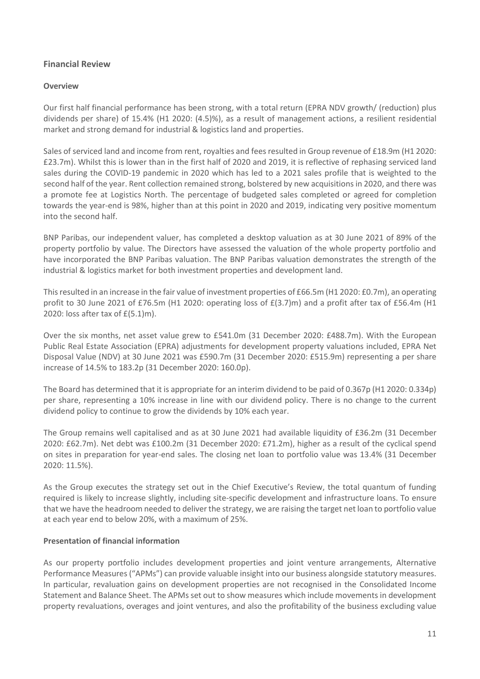#### **Financial Review**

#### **Overview**

Our first half financial performance has been strong, with a total return (EPRA NDV growth/ (reduction) plus dividends per share) of 15.4% (H1 2020: (4.5)%), as a result of management actions, a resilient residential market and strong demand for industrial & logistics land and properties.

Sales of serviced land and income from rent, royalties and fees resulted in Group revenue of £18.9m (H1 2020: £23.7m). Whilst this is lower than in the first half of 2020 and 2019, it is reflective of rephasing serviced land sales during the COVID-19 pandemic in 2020 which has led to a 2021 sales profile that is weighted to the second half of the year. Rent collection remained strong, bolstered by new acquisitions in 2020, and there was a promote fee at Logistics North. The percentage of budgeted sales completed or agreed for completion towards the year-end is 98%, higher than at this point in 2020 and 2019, indicating very positive momentum into the second half.

BNP Paribas, our independent valuer, has completed a desktop valuation as at 30 June 2021 of 89% of the property portfolio by value. The Directors have assessed the valuation of the whole property portfolio and have incorporated the BNP Paribas valuation. The BNP Paribas valuation demonstrates the strength of the industrial & logistics market for both investment properties and development land.

This resulted in an increase in the fair value of investment properties of £66.5m (H1 2020: £0.7m), an operating profit to 30 June 2021 of £76.5m (H1 2020: operating loss of £(3.7)m) and a profit after tax of £56.4m (H1 2020: loss after tax of £(5.1)m).

Over the six months, net asset value grew to £541.0m (31 December 2020: £488.7m). With the European Public Real Estate Association (EPRA) adjustments for development property valuations included, EPRA Net Disposal Value (NDV) at 30 June 2021 was £590.7m (31 December 2020: £515.9m) representing a per share increase of 14.5% to 183.2p (31 December 2020: 160.0p).

The Board has determined that it is appropriate for an interim dividend to be paid of 0.367p (H1 2020: 0.334p) per share, representing a 10% increase in line with our dividend policy. There is no change to the current dividend policy to continue to grow the dividends by 10% each year.

The Group remains well capitalised and as at 30 June 2021 had available liquidity of £36.2m (31 December 2020: £62.7m). Net debt was £100.2m (31 December 2020: £71.2m), higher as a result of the cyclical spend on sites in preparation for year-end sales. The closing net loan to portfolio value was 13.4% (31 December 2020: 11.5%).

As the Group executes the strategy set out in the Chief Executive's Review, the total quantum of funding required is likely to increase slightly, including site-specific development and infrastructure loans. To ensure that we have the headroom needed to deliver the strategy, we are raising the target net loan to portfolio value at each year end to below 20%, with a maximum of 25%.

#### **Presentation of financial information**

As our property portfolio includes development properties and joint venture arrangements, Alternative Performance Measures ("APMs") can provide valuable insight into our business alongside statutory measures. In particular, revaluation gains on development properties are not recognised in the Consolidated Income Statement and Balance Sheet. The APMs set out to show measures which include movements in development property revaluations, overages and joint ventures, and also the profitability of the business excluding value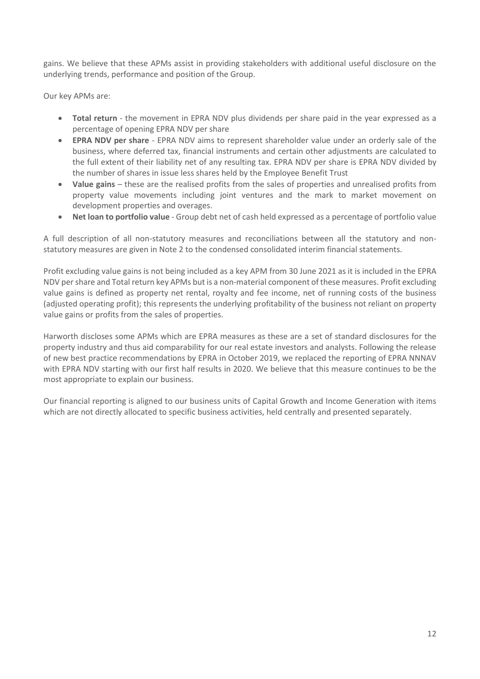gains. We believe that these APMs assist in providing stakeholders with additional useful disclosure on the underlying trends, performance and position of the Group.

Our key APMs are:

- **Total return** the movement in EPRA NDV plus dividends per share paid in the year expressed as a percentage of opening EPRA NDV per share
- **EPRA NDV per share** EPRA NDV aims to represent shareholder value under an orderly sale of the business, where deferred tax, financial instruments and certain other adjustments are calculated to the full extent of their liability net of any resulting tax. EPRA NDV per share is EPRA NDV divided by the number of shares in issue less shares held by the Employee Benefit Trust
- **Value gains**  these are the realised profits from the sales of properties and unrealised profits from property value movements including joint ventures and the mark to market movement on development properties and overages.
- **Net loan to portfolio value** Group debt net of cash held expressed as a percentage of portfolio value

A full description of all non-statutory measures and reconciliations between all the statutory and nonstatutory measures are given in Note 2 to the condensed consolidated interim financial statements.

Profit excluding value gains is not being included as a key APM from 30 June 2021 as it is included in the EPRA NDV per share and Total return key APMs but is a non-material component of these measures. Profit excluding value gains is defined as property net rental, royalty and fee income, net of running costs of the business (adjusted operating profit); this represents the underlying profitability of the business not reliant on property value gains or profits from the sales of properties.

Harworth discloses some APMs which are EPRA measures as these are a set of standard disclosures for the property industry and thus aid comparability for our real estate investors and analysts. Following the release of new best practice recommendations by EPRA in October 2019, we replaced the reporting of EPRA NNNAV with EPRA NDV starting with our first half results in 2020. We believe that this measure continues to be the most appropriate to explain our business.

Our financial reporting is aligned to our business units of Capital Growth and Income Generation with items which are not directly allocated to specific business activities, held centrally and presented separately.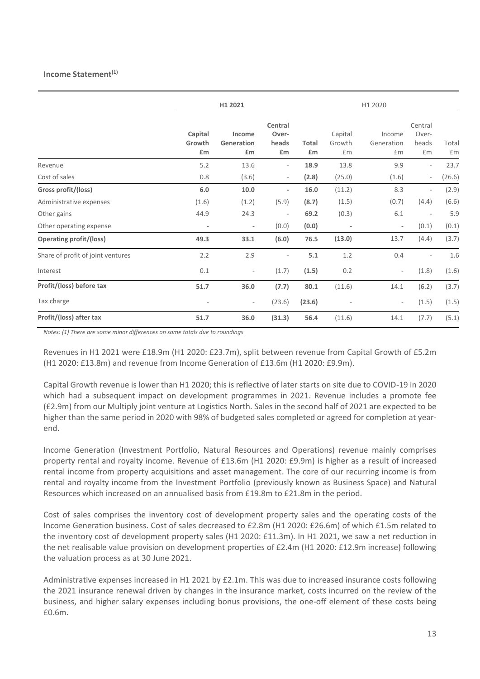#### **Income Statement(1)**

|                                   |                          | H1 2021                    |                                 |                    | H1 2020                  |                            |                                 |             |
|-----------------------------------|--------------------------|----------------------------|---------------------------------|--------------------|--------------------------|----------------------------|---------------------------------|-------------|
|                                   | Capital<br>Growth<br>£m  | Income<br>Generation<br>£m | Central<br>Over-<br>heads<br>£m | <b>Total</b><br>£m | Capital<br>Growth<br>£m  | Income<br>Generation<br>£m | Central<br>Over-<br>heads<br>£m | Total<br>£m |
| Revenue                           | 5.2                      | 13.6                       | $\overline{\phantom{a}}$        | 18.9               | 13.8                     | 9.9                        |                                 | 23.7        |
| Cost of sales                     | 0.8                      | (3.6)                      | $\overline{\phantom{a}}$        | (2.8)              | (25.0)                   | (1.6)                      |                                 | (26.6)      |
| Gross profit/(loss)               | 6.0                      | 10.0                       | $\overline{\phantom{a}}$        | 16.0               | (11.2)                   | 8.3                        |                                 | (2.9)       |
| Administrative expenses           | (1.6)                    | (1.2)                      | (5.9)                           | (8.7)              | (1.5)                    | (0.7)                      | (4.4)                           | (6.6)       |
| Other gains                       | 44.9                     | 24.3                       | $\sim$                          | 69.2               | (0.3)                    | $6.1$                      |                                 | 5.9         |
| Other operating expense           | $\overline{\phantom{a}}$ | $\overline{\phantom{a}}$   | (0.0)                           | (0.0)              | $\overline{\phantom{a}}$ | $\overline{\phantom{a}}$   | (0.1)                           | (0.1)       |
| Operating profit/(loss)           | 49.3                     | 33.1                       | (6.0)                           | 76.5               | (13.0)                   | 13.7                       | (4.4)                           | (3.7)       |
| Share of profit of joint ventures | 2.2                      | 2.9                        |                                 | 5.1                | 1.2                      | 0.4                        |                                 | 1.6         |
| Interest                          | 0.1                      | $\overline{\phantom{a}}$   | (1.7)                           | (1.5)              | 0.2                      | $\overline{\phantom{a}}$   | (1.8)                           | (1.6)       |
| Profit/(loss) before tax          | 51.7                     | 36.0                       | (7.7)                           | 80.1               | (11.6)                   | 14.1                       | (6.2)                           | (3.7)       |
| Tax charge                        |                          | $\overline{\phantom{a}}$   | (23.6)                          | (23.6)             |                          | $\overline{\phantom{a}}$   | (1.5)                           | (1.5)       |
| Profit/(loss) after tax           | 51.7                     | 36.0                       | (31.3)                          | 56.4               | (11.6)                   | 14.1                       | (7.7)                           | (5.1)       |

*Notes: (1) There are some minor differences on some totals due to roundings*

Revenues in H1 2021 were £18.9m (H1 2020: £23.7m), split between revenue from Capital Growth of £5.2m (H1 2020: £13.8m) and revenue from Income Generation of £13.6m (H1 2020: £9.9m).

Capital Growth revenue is lower than H1 2020; this is reflective of later starts on site due to COVID-19 in 2020 which had a subsequent impact on development programmes in 2021. Revenue includes a promote fee (£2.9m) from our Multiply joint venture at Logistics North. Sales in the second half of 2021 are expected to be higher than the same period in 2020 with 98% of budgeted sales completed or agreed for completion at yearend.

Income Generation (Investment Portfolio, Natural Resources and Operations) revenue mainly comprises property rental and royalty income. Revenue of £13.6m (H1 2020: £9.9m) is higher as a result of increased rental income from property acquisitions and asset management. The core of our recurring income is from rental and royalty income from the Investment Portfolio (previously known as Business Space) and Natural Resources which increased on an annualised basis from £19.8m to £21.8m in the period.

Cost of sales comprises the inventory cost of development property sales and the operating costs of the Income Generation business. Cost of sales decreased to £2.8m (H1 2020: £26.6m) of which £1.5m related to the inventory cost of development property sales (H1 2020: £11.3m). In H1 2021, we saw a net reduction in the net realisable value provision on development properties of £2.4m (H1 2020: £12.9m increase) following the valuation process as at 30 June 2021.

Administrative expenses increased in H1 2021 by £2.1m. This was due to increased insurance costs following the 2021 insurance renewal driven by changes in the insurance market, costs incurred on the review of the business, and higher salary expenses including bonus provisions, the one-off element of these costs being £0.6m.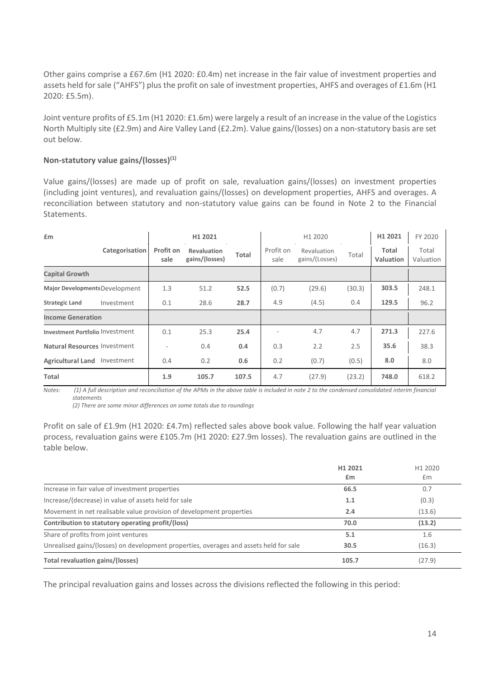Other gains comprise a £67.6m (H1 2020: £0.4m) net increase in the fair value of investment properties and assets held for sale ("AHFS") plus the profit on sale of investment properties, AHFS and overages of £1.6m (H1 2020: £5.5m).

Joint venture profits of £5.1m (H1 2020: £1.6m) were largely a result of an increase in the value of the Logistics North Multiply site (£2.9m) and Aire Valley Land (£2.2m). Value gains/(losses) on a non-statutory basis are set out below.

#### **Non-statutory value gains/(losses)(1)**

Value gains/(losses) are made up of profit on sale, revaluation gains/(losses) on investment properties (including joint ventures), and revaluation gains/(losses) on development properties, AHFS and overages. A reconciliation between statutory and non-statutory value gains can be found in Note 2 to the Financial Statements.

| £m                                  |                   | H1 2021                              |       | H1 2020                  |                               |        | H1 2021                   | FY 2020            |
|-------------------------------------|-------------------|--------------------------------------|-------|--------------------------|-------------------------------|--------|---------------------------|--------------------|
| Categorisation                      | Profit on<br>sale | <b>Revaluation</b><br>gains/(losses) | Total | Profit on<br>sale        | Revaluation<br>gains/(Losses) | Total  | Total<br><b>Valuation</b> | Total<br>Valuation |
| <b>Capital Growth</b>               |                   |                                      |       |                          |                               |        |                           |                    |
| Major DevelopmentsDevelopment       | 1.3               | 51.2                                 | 52.5  | (0.7)                    | (29.6)                        | (30.3) | 303.5                     | 248.1              |
| Investment<br><b>Strategic Land</b> | 0.1               | 28.6                                 | 28.7  | 4.9                      | (4.5)                         | 0.4    | 129.5                     | 96.2               |
| <b>Income Generation</b>            |                   |                                      |       |                          |                               |        |                           |                    |
| Investment Portfolio Investment     | 0.1               | 25.3                                 | 25.4  | $\overline{\phantom{a}}$ | 4.7                           | 4.7    | 271.3                     | 227.6              |
| Natural Resources Investment        | ۰                 | 0.4                                  | 0.4   | 0.3                      | 2.2                           | 2.5    | 35.6                      | 38.3               |
| Agricultural Land Investment        | 0.4               | 0.2                                  | 0.6   | 0.2                      | (0.7)                         | (0.5)  | 8.0                       | 8.0                |
| Total                               | 1.9               | 105.7                                | 107.5 | 4.7                      | (27.9)                        | (23.2) | 748.0                     | 618.2              |

*Notes: (1) A full description and reconciliation of the APMs in the above table is included in note 2 to the condensed consolidated interim financial statements*

*(2) There are some minor differences on some totals due to roundings*

Profit on sale of £1.9m (H1 2020: £4.7m) reflected sales above book value. Following the half year valuation process, revaluation gains were £105.7m (H1 2020: £27.9m losses). The revaluation gains are outlined in the table below.

|                                                                                        | H1 2021<br>£m | H <sub>1</sub> 2020<br>£m |
|----------------------------------------------------------------------------------------|---------------|---------------------------|
| Increase in fair value of investment properties                                        | 66.5          | 0.7                       |
| Increase/(decrease) in value of assets held for sale                                   | 1.1           | (0.3)                     |
| Movement in net realisable value provision of development properties                   | 2.4           | (13.6)                    |
| Contribution to statutory operating profit/(loss)                                      | 70.0          | (13.2)                    |
| Share of profits from joint ventures                                                   | 5.1           | 1.6                       |
| Unrealised gains/(losses) on development properties, overages and assets held for sale | 30.5          | (16.3)                    |
| Total revaluation gains/(losses)                                                       | 105.7         | (27.9)                    |

The principal revaluation gains and losses across the divisions reflected the following in this period: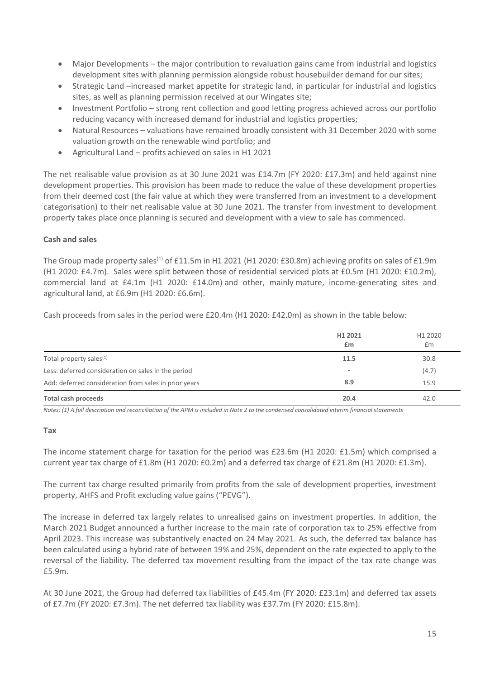- Major Developments the major contribution to revaluation gains came from industrial and logistics development sites with planning permission alongside robust housebuilder demand for our sites;
- Strategic Land –increased market appetite for strategic land, in particular for industrial and logistics sites, as well as planning permission received at our Wingates site;
- Investment Portfolio strong rent collection and good letting progress achieved across our portfolio reducing vacancy with increased demand for industrial and logistics properties;
- Natural Resources valuations have remained broadly consistent with 31 December 2020 with some valuation growth on the renewable wind portfolio; and
- Agricultural Land profits achieved on sales in H1 2021

The net realisable value provision as at 30 June 2021 was £14.7m (FY 2020: £17.3m) and held against nine development properties. This provision has been made to reduce the value of these development properties from their deemed cost (the fair value at which they were transferred from an investment to a development categorisation) to their net realisable value at 30 June 2021. The transfer from investment to development property takes place once planning is secured and development with a view to sale has commenced.

#### **Cash and sales**

The Group made property sales<sup>(1)</sup> of £11.5m in H1 2021 (H1 2020: £30.8m) achieving profits on sales of £1.9m (H1 2020: £4.7m). Sales were split between those of residential serviced plots at £0.5m (H1 2020: £10.2m), commercial land at £4.1m (H1 2020: £14.0m) and other, mainly mature, income-generating sites and agricultural land, at £6.9m (H1 2020: £6.6m).

Cash proceeds from sales in the period were £20.4m (H1 2020: £42.0m) as shown in the table below:

|                                                       | H1 2021<br>£m            | H1 2020<br>Em |
|-------------------------------------------------------|--------------------------|---------------|
| Total property sales <sup>(1)</sup>                   | 11.5                     | 30.8          |
| Less: deferred consideration on sales in the period   | $\overline{\phantom{a}}$ | (4.7)         |
| Add: deferred consideration from sales in prior years | 8.9                      | 15.9          |
| <b>Total cash proceeds</b>                            | 20.4                     | 42.0          |

*Notes: (1) A full description and reconciliation of the APM is included in Note 2 to the condensed consolidated interim financial statements*

#### **Tax**

The income statement charge for taxation for the period was £23.6m (H1 2020: £1.5m) which comprised a current year tax charge of £1.8m (H1 2020: £0.2m) and a deferred tax charge of £21.8m (H1 2020: £1.3m).

The current tax charge resulted primarily from profits from the sale of development properties, investment property, AHFS and Profit excluding value gains ("PEVG").

The increase in deferred tax largely relates to unrealised gains on investment properties. In addition, the March 2021 Budget announced a further increase to the main rate of corporation tax to 25% effective from April 2023. This increase was substantively enacted on 24 May 2021. As such, the deferred tax balance has been calculated using a hybrid rate of between 19% and 25%, dependent on the rate expected to apply to the reversal of the liability. The deferred tax movement resulting from the impact of the tax rate change was £5.9m.

At 30 June 2021, the Group had deferred tax liabilities of £45.4m (FY 2020: £23.1m) and deferred tax assets of £7.7m (FY 2020: £7.3m). The net deferred tax liability was £37.7m (FY 2020: £15.8m).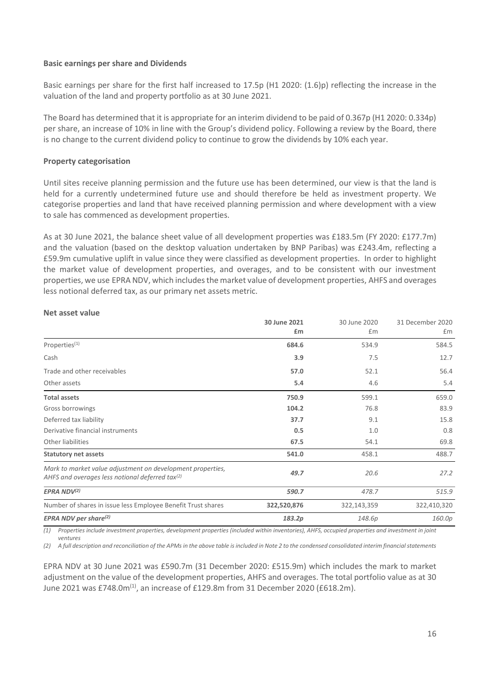#### **Basic earnings per share and Dividends**

Basic earnings per share for the first half increased to 17.5p (H1 2020: (1.6)p) reflecting the increase in the valuation of the land and property portfolio as at 30 June 2021.

The Board has determined that it is appropriate for an interim dividend to be paid of 0.367p (H1 2020: 0.334p) per share, an increase of 10% in line with the Group's dividend policy. Following a review by the Board, there is no change to the current dividend policy to continue to grow the dividends by 10% each year.

#### **Property categorisation**

Until sites receive planning permission and the future use has been determined, our view is that the land is held for a currently undetermined future use and should therefore be held as investment property. We categorise properties and land that have received planning permission and where development with a view to sale has commenced as development properties.

As at 30 June 2021, the balance sheet value of all development properties was £183.5m (FY 2020: £177.7m) and the valuation (based on the desktop valuation undertaken by BNP Paribas) was £243.4m, reflecting a £59.9m cumulative uplift in value since they were classified as development properties. In order to highlight the market value of development properties, and overages, and to be consistent with our investment properties, we use EPRA NDV, which includes the market value of development properties, AHFS and overages less notional deferred tax, as our primary net assets metric.

|                                                                                                                  | 30 June 2021<br>£m | 30 June 2020<br>Em | 31 December 2020<br>£m |
|------------------------------------------------------------------------------------------------------------------|--------------------|--------------------|------------------------|
| Properties <sup>(1)</sup>                                                                                        | 684.6              | 534.9              | 584.5                  |
| Cash                                                                                                             | 3.9                | 7.5                | 12.7                   |
| Trade and other receivables                                                                                      | 57.0               | 52.1               | 56.4                   |
| Other assets                                                                                                     | 5.4                | 4.6                | 5.4                    |
| <b>Total assets</b>                                                                                              | 750.9              | 599.1              | 659.0                  |
| Gross borrowings                                                                                                 | 104.2              | 76.8               | 83.9                   |
| Deferred tax liability                                                                                           | 37.7               | 9.1                | 15.8                   |
| Derivative financial instruments                                                                                 | 0.5                | 1.0                | 0.8                    |
| Other liabilities                                                                                                | 67.5               | 54.1               | 69.8                   |
| <b>Statutory net assets</b>                                                                                      | 541.0              | 458.1              | 488.7                  |
| Mark to market value adjustment on development properties,<br>AHFS and overages less notional deferred tax $(2)$ | 49.7               | 20.6               | 27.2                   |
| EPRA NDV $(2)$                                                                                                   | 590.7              | 478.7              | 515.9                  |
| Number of shares in issue less Employee Benefit Trust shares                                                     | 322,520,876        | 322,143,359        | 322,410,320            |
| EPRA NDV per share <sup>(2)</sup>                                                                                | 183.2p             | 148.6p             | 160.0p                 |

#### **Net asset value**

*(1) Properties include investment properties, development properties (included within inventories), AHFS, occupied properties and investment in joint ventures* 

*(2) A full description and reconciliation of the APMs in the above table is included in Note 2 to the condensed consolidated interim financial statements*

EPRA NDV at 30 June 2021 was £590.7m (31 December 2020: £515.9m) which includes the mark to market adjustment on the value of the development properties, AHFS and overages. The total portfolio value as at 30 June 2021 was £748.0 $m^{(1)}$ , an increase of £129.8m from 31 December 2020 (£618.2m).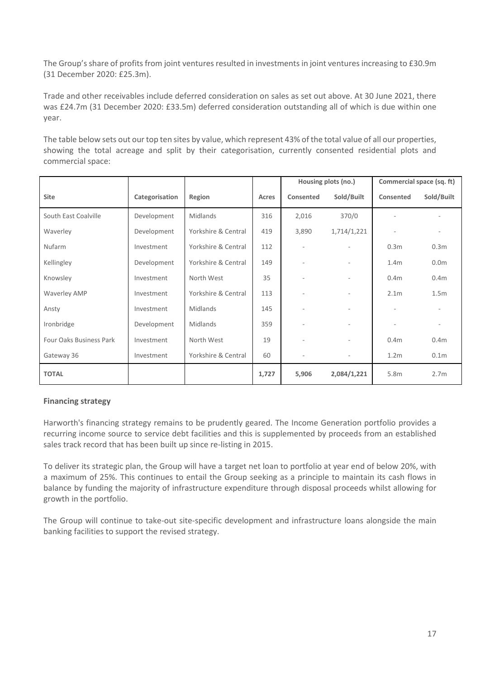The Group's share of profits from joint ventures resulted in investments in joint ventures increasing to £30.9m (31 December 2020: £25.3m).

Trade and other receivables include deferred consideration on sales as set out above. At 30 June 2021, there was £24.7m (31 December 2020: £33.5m) deferred consideration outstanding all of which is due within one year.

The table below sets out our top ten sites by value, which represent 43% of the total value of all our properties, showing the total acreage and split by their categorisation, currently consented residential plots and commercial space:

|                         |                |                     |       | Housing plots (no.) |                          | Commercial space (sq. ft) |                          |
|-------------------------|----------------|---------------------|-------|---------------------|--------------------------|---------------------------|--------------------------|
| <b>Site</b>             | Categorisation | Region              | Acres | Consented           | Sold/Built               | Consented                 | Sold/Built               |
| South East Coalville    | Development    | Midlands            | 316   | 2,016               | 370/0                    |                           |                          |
| Waverley                | Development    | Yorkshire & Central | 419   | 3,890               | 1,714/1,221              | ٠                         | $\overline{\phantom{a}}$ |
| Nufarm                  | Investment     | Yorkshire & Central | 112   | $\sim$              |                          | 0.3 <sub>m</sub>          | 0.3 <sub>m</sub>         |
| Kellingley              | Development    | Yorkshire & Central | 149   |                     | $\sim$                   | 1.4 <sub>m</sub>          | 0.0 <sub>m</sub>         |
| Knowsley                | Investment     | North West          | 35    |                     |                          | 0.4 <sub>m</sub>          | 0.4 <sub>m</sub>         |
| Waverley AMP            | Investment     | Yorkshire & Central | 113   | $\sim$              | $\overline{\phantom{a}}$ | 2.1 <sub>m</sub>          | 1.5 <sub>m</sub>         |
| Ansty                   | Investment     | Midlands            | 145   |                     | $\sim$                   | $\overline{a}$            |                          |
| Ironbridge              | Development    | Midlands            | 359   |                     |                          |                           |                          |
| Four Oaks Business Park | Investment     | North West          | 19    |                     | $\overline{\phantom{a}}$ | 0.4 <sub>m</sub>          | 0.4 <sub>m</sub>         |
| Gateway 36              | Investment     | Yorkshire & Central | 60    |                     |                          | 1.2 <sub>m</sub>          | 0.1 <sub>m</sub>         |
| <b>TOTAL</b>            |                |                     | 1,727 | 5,906               | 2,084/1,221              | 5.8m                      | 2.7 <sub>m</sub>         |

#### **Financing strategy**

Harworth's financing strategy remains to be prudently geared. The Income Generation portfolio provides a recurring income source to service debt facilities and this is supplemented by proceeds from an established sales track record that has been built up since re-listing in 2015.

To deliver its strategic plan, the Group will have a target net loan to portfolio at year end of below 20%, with a maximum of 25%. This continues to entail the Group seeking as a principle to maintain its cash flows in balance by funding the majority of infrastructure expenditure through disposal proceeds whilst allowing for growth in the portfolio.

The Group will continue to take-out site-specific development and infrastructure loans alongside the main banking facilities to support the revised strategy.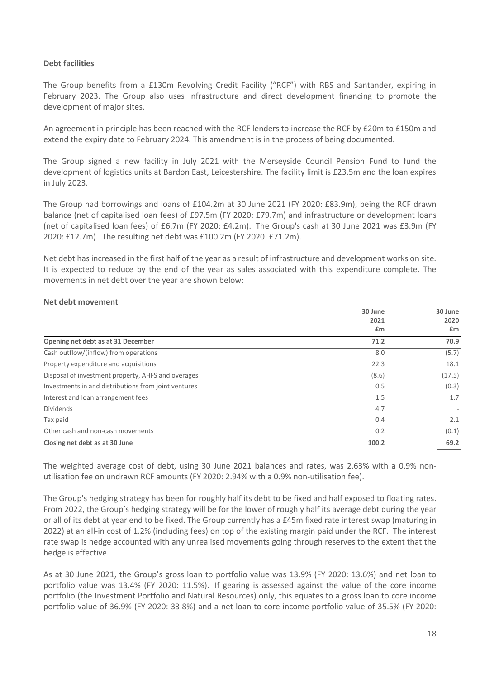#### **Debt facilities**

The Group benefits from a £130m Revolving Credit Facility ("RCF") with RBS and Santander, expiring in February 2023. The Group also uses infrastructure and direct development financing to promote the development of major sites.

An agreement in principle has been reached with the RCF lenders to increase the RCF by £20m to £150m and extend the expiry date to February 2024. This amendment is in the process of being documented.

The Group signed a new facility in July 2021 with the Merseyside Council Pension Fund to fund the development of logistics units at Bardon East, Leicestershire. The facility limit is £23.5m and the loan expires in July 2023.

The Group had borrowings and loans of £104.2m at 30 June 2021 (FY 2020: £83.9m), being the RCF drawn balance (net of capitalised loan fees) of £97.5m (FY 2020: £79.7m) and infrastructure or development loans (net of capitalised loan fees) of £6.7m (FY 2020: £4.2m). The Group's cash at 30 June 2021 was £3.9m (FY 2020: £12.7m). The resulting net debt was £100.2m (FY 2020: £71.2m).

Net debt has increased in the first half of the year as a result of infrastructure and development works on site. It is expected to reduce by the end of the year as sales associated with this expenditure complete. The movements in net debt over the year are shown below:

#### **Net debt movement**

|                                                      | 30 June | 30 June                  |
|------------------------------------------------------|---------|--------------------------|
|                                                      | 2021    | 2020                     |
|                                                      | £m      | £m                       |
| Opening net debt as at 31 December                   | 71.2    | 70.9                     |
| Cash outflow/(inflow) from operations                | 8.0     | (5.7)                    |
| Property expenditure and acquisitions                | 22.3    | 18.1                     |
| Disposal of investment property, AHFS and overages   | (8.6)   | (17.5)                   |
| Investments in and distributions from joint ventures | 0.5     | (0.3)                    |
| Interest and loan arrangement fees                   | 1.5     | 1.7                      |
| <b>Dividends</b>                                     | 4.7     | $\overline{\phantom{a}}$ |
| Tax paid                                             | 0.4     | 2.1                      |
| Other cash and non-cash movements                    | 0.2     | (0.1)                    |
| Closing net debt as at 30 June                       | 100.2   | 69.2                     |

The weighted average cost of debt, using 30 June 2021 balances and rates, was 2.63% with a 0.9% nonutilisation fee on undrawn RCF amounts (FY 2020: 2.94% with a 0.9% non-utilisation fee).

The Group's hedging strategy has been for roughly half its debt to be fixed and half exposed to floating rates. From 2022, the Group's hedging strategy will be for the lower of roughly half its average debt during the year or all of its debt at year end to be fixed. The Group currently has a £45m fixed rate interest swap (maturing in 2022) at an all-in cost of 1.2% (including fees) on top of the existing margin paid under the RCF. The interest rate swap is hedge accounted with any unrealised movements going through reserves to the extent that the hedge is effective.

As at 30 June 2021, the Group's gross loan to portfolio value was 13.9% (FY 2020: 13.6%) and net loan to portfolio value was 13.4% (FY 2020: 11.5%). If gearing is assessed against the value of the core income portfolio (the Investment Portfolio and Natural Resources) only, this equates to a gross loan to core income portfolio value of 36.9% (FY 2020: 33.8%) and a net loan to core income portfolio value of 35.5% (FY 2020: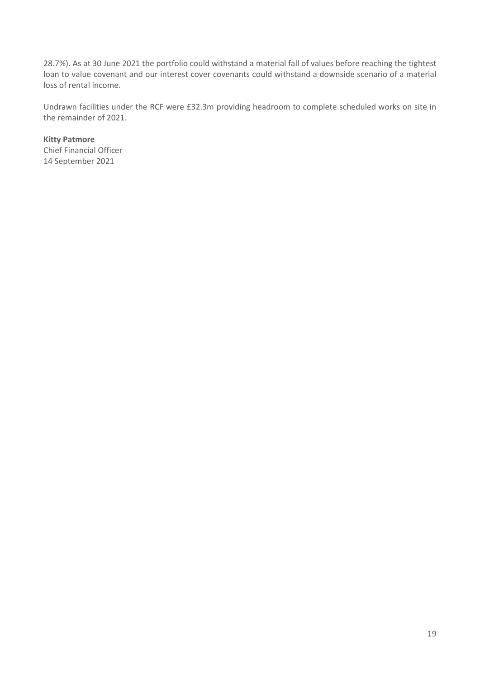28.7%). As at 30 June 2021 the portfolio could withstand a material fall of values before reaching the tightest loan to value covenant and our interest cover covenants could withstand a downside scenario of a material loss of rental income.

Undrawn facilities under the RCF were £32.3m providing headroom to complete scheduled works on site in the remainder of 2021.

**Kitty Patmore** Chief Financial Officer 14 September 2021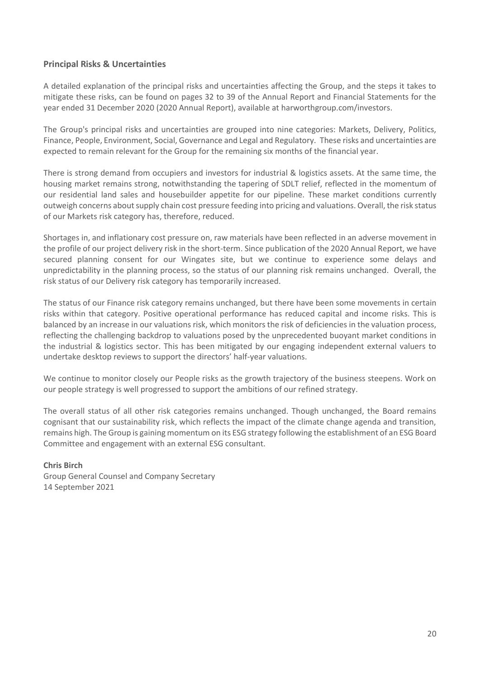#### **Principal Risks & Uncertainties**

A detailed explanation of the principal risks and uncertainties affecting the Group, and the steps it takes to mitigate these risks, can be found on pages 32 to 39 of the Annual Report and Financial Statements for the year ended 31 December 2020 (2020 Annual Report), available at [harworthgroup.com/investors.](http://harworthgroup.com/investors)

The Group's principal risks and uncertainties are grouped into nine categories: Markets, Delivery, Politics, Finance, People, Environment, Social, Governance and Legal and Regulatory. These risks and uncertainties are expected to remain relevant for the Group for the remaining six months of the financial year.

There is strong demand from occupiers and investors for industrial & logistics assets. At the same time, the housing market remains strong, notwithstanding the tapering of SDLT relief, reflected in the momentum of our residential land sales and housebuilder appetite for our pipeline. These market conditions currently outweigh concerns about supply chain cost pressure feeding into pricing and valuations. Overall, the risk status of our Markets risk category has, therefore, reduced.

Shortages in, and inflationary cost pressure on, raw materials have been reflected in an adverse movement in the profile of our project delivery risk in the short-term. Since publication of the 2020 Annual Report, we have secured planning consent for our Wingates site, but we continue to experience some delays and unpredictability in the planning process, so the status of our planning risk remains unchanged. Overall, the risk status of our Delivery risk category has temporarily increased.

The status of our Finance risk category remains unchanged, but there have been some movements in certain risks within that category. Positive operational performance has reduced capital and income risks. This is balanced by an increase in our valuations risk, which monitors the risk of deficiencies in the valuation process, reflecting the challenging backdrop to valuations posed by the unprecedented buoyant market conditions in the industrial & logistics sector. This has been mitigated by our engaging independent external valuers to undertake desktop reviews to support the directors' half-year valuations.

We continue to monitor closely our People risks as the growth trajectory of the business steepens. Work on our people strategy is well progressed to support the ambitions of our refined strategy.

The overall status of all other risk categories remains unchanged. Though unchanged, the Board remains cognisant that our sustainability risk, which reflects the impact of the climate change agenda and transition, remains high. The Group is gaining momentum on its ESG strategy following the establishment of an ESG Board Committee and engagement with an external ESG consultant.

**Chris Birch** Group General Counsel and Company Secretary 14 September 2021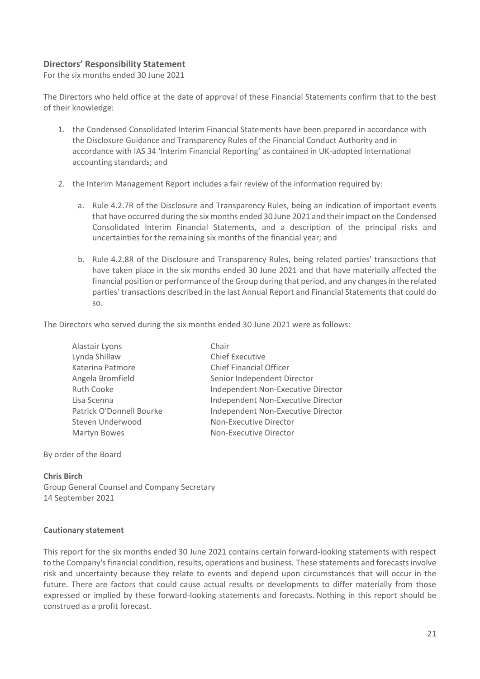#### **Directors' Responsibility Statement**

For the six months ended 30 June 2021

The Directors who held office at the date of approval of these Financial Statements confirm that to the best of their knowledge:

- 1. the Condensed Consolidated Interim Financial Statements have been prepared in accordance with the Disclosure Guidance and Transparency Rules of the Financial Conduct Authority and in accordance with IAS 34 'Interim Financial Reporting' as contained in UK-adopted international accounting standards; and
- 2. the Interim Management Report includes a fair review of the information required by:
	- a. Rule 4.2.7R of the Disclosure and Transparency Rules, being an indication of important events that have occurred during the six months ended 30 June 2021 and their impact on the Condensed Consolidated Interim Financial Statements, and a description of the principal risks and uncertainties for the remaining six months of the financial year; and
	- b. Rule 4.2.8R of the Disclosure and Transparency Rules, being related parties' transactions that have taken place in the six months ended 30 June 2021 and that have materially affected the financial position or performance of the Group during that period, and any changes in the related parties' transactions described in the last Annual Report and Financial Statements that could do so.

The Directors who served during the six months ended 30 June 2021 were as follows:

| Alastair Lyons           | Chair                              |
|--------------------------|------------------------------------|
| Lynda Shillaw            | <b>Chief Executive</b>             |
| Katerina Patmore         | <b>Chief Financial Officer</b>     |
| Angela Bromfield         | Senior Independent Director        |
| <b>Ruth Cooke</b>        | Independent Non-Executive Director |
| Lisa Scenna              | Independent Non-Executive Director |
| Patrick O'Donnell Bourke | Independent Non-Executive Director |
| Steven Underwood         | Non-Executive Director             |
| Martyn Bowes             | Non-Executive Director             |

By order of the Board

#### **Chris Birch**

Group General Counsel and Company Secretary 14 September 2021

#### **Cautionary statement**

This report for the six months ended 30 June 2021 contains certain forward-looking statements with respect to the Company's financial condition, results, operations and business. These statements and forecasts involve risk and uncertainty because they relate to events and depend upon circumstances that will occur in the future. There are factors that could cause actual results or developments to differ materially from those expressed or implied by these forward-looking statements and forecasts. Nothing in this report should be construed as a profit forecast.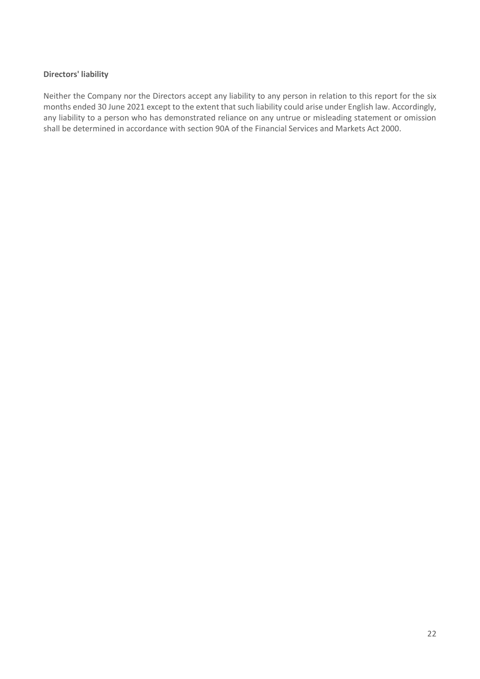#### **Directors' liability**

Neither the Company nor the Directors accept any liability to any person in relation to this report for the six months ended 30 June 2021 except to the extent that such liability could arise under English law. Accordingly, any liability to a person who has demonstrated reliance on any untrue or misleading statement or omission shall be determined in accordance with section 90A of the Financial Services and Markets Act 2000.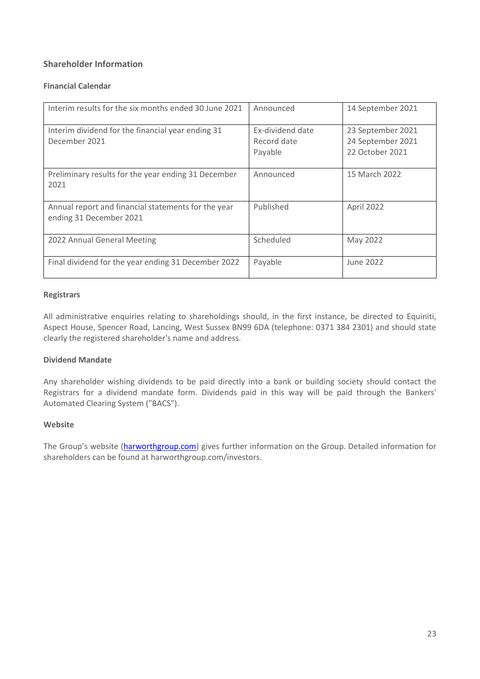#### **Shareholder Information**

#### **Financial Calendar**

| Interim results for the six months ended 30 June 2021                          | Announced                                  | 14 September 2021                                         |
|--------------------------------------------------------------------------------|--------------------------------------------|-----------------------------------------------------------|
| Interim dividend for the financial year ending 31<br>December 2021             | Ex-dividend date<br>Record date<br>Payable | 23 September 2021<br>24 September 2021<br>22 October 2021 |
| Preliminary results for the year ending 31 December<br>2021                    | Announced                                  | 15 March 2022                                             |
| Annual report and financial statements for the year<br>ending 31 December 2021 | Published                                  | April 2022                                                |
| 2022 Annual General Meeting                                                    | Scheduled                                  | May 2022                                                  |
| Final dividend for the year ending 31 December 2022                            | Payable                                    | June 2022                                                 |

#### **Registrars**

All administrative enquiries relating to shareholdings should, in the first instance, be directed to Equiniti, Aspect House, Spencer Road, Lancing, West Sussex BN99 6DA (telephone: 0371 384 2301) and should state clearly the registered shareholder's name and address.

#### **Dividend Mandate**

Any shareholder wishing dividends to be paid directly into a bank or building society should contact the Registrars for a dividend mandate form. Dividends paid in this way will be paid through the Bankers' Automated Clearing System ("BACS").

#### **Website**

The Group's website [\(harworthgroup.com\)](http://harworthgroup.com/) gives further information on the Group. Detailed information for shareholders can be found at harworthgroup.com/investors.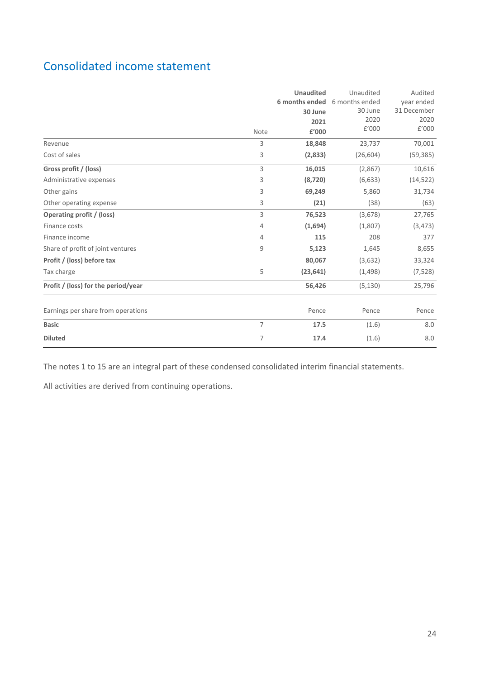### Consolidated income statement

|                                     |                | <b>Unaudited</b> | Unaudited      | Audited     |
|-------------------------------------|----------------|------------------|----------------|-------------|
|                                     |                | 6 months ended   | 6 months ended | year ended  |
|                                     |                | 30 June          | 30 June        | 31 December |
|                                     |                | 2021             | 2020           | 2020        |
|                                     | Note           | £'000            | f'000          | f'000       |
| Revenue                             | 3              | 18,848           | 23,737         | 70,001      |
| Cost of sales                       | 3              | (2,833)          | (26, 604)      | (59, 385)   |
| Gross profit / (loss)               | 3              | 16,015           | (2,867)        | 10,616      |
| Administrative expenses             | 3              | (8, 720)         | (6, 633)       | (14, 522)   |
| Other gains                         | 3              | 69,249           | 5,860          | 31,734      |
| Other operating expense             | 3              | (21)             | (38)           | (63)        |
| Operating profit / (loss)           | 3              | 76,523           | (3,678)        | 27,765      |
| Finance costs                       | 4              | (1,694)          | (1,807)        | (3, 473)    |
| Finance income                      | 4              | 115              | 208            | 377         |
| Share of profit of joint ventures   | 9              | 5,123            | 1,645          | 8,655       |
| Profit / (loss) before tax          |                | 80,067           | (3,632)        | 33,324      |
| Tax charge                          | 5              | (23, 641)        | (1,498)        | (7, 528)    |
| Profit / (loss) for the period/year |                | 56,426           | (5, 130)       | 25,796      |
| Earnings per share from operations  |                | Pence            | Pence          | Pence       |
| <b>Basic</b>                        | $\overline{7}$ | 17.5             | (1.6)          | 8.0         |
| <b>Diluted</b>                      | 7              | 17.4             | (1.6)          | 8.0         |

The notes 1 to 15 are an integral part of these condensed consolidated interim financial statements.

All activities are derived from continuing operations.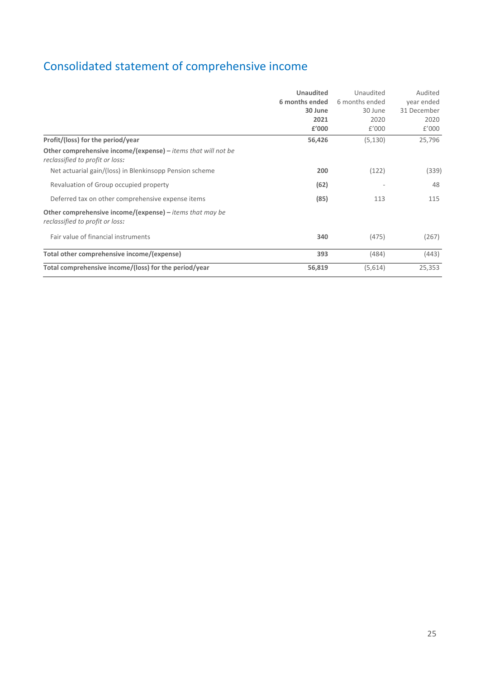# Consolidated statement of comprehensive income

|                                                                                                                                              | <b>Unaudited</b><br>6 months ended<br>30 June<br>2021 | Unaudited<br>6 months ended<br>30 June<br>2020 | Audited<br>year ended<br>31 December<br>2020 |
|----------------------------------------------------------------------------------------------------------------------------------------------|-------------------------------------------------------|------------------------------------------------|----------------------------------------------|
|                                                                                                                                              | £'000                                                 | £'000                                          | f'000                                        |
| Profit/(loss) for the period/year<br>Other comprehensive income/(expense) – <i>items that will not be</i><br>reclassified to profit or loss: | 56,426                                                | (5, 130)                                       | 25,796                                       |
| Net actuarial gain/(loss) in Blenkinsopp Pension scheme                                                                                      | 200                                                   | (122)                                          | (339)                                        |
| Revaluation of Group occupied property                                                                                                       | (62)                                                  |                                                | 48                                           |
| Deferred tax on other comprehensive expense items                                                                                            | (85)                                                  | 113                                            | 115                                          |
| Other comprehensive income/(expense) – <i>items that may be</i><br>reclassified to profit or loss:                                           |                                                       |                                                |                                              |
| Fair value of financial instruments                                                                                                          | 340                                                   | (475)                                          | (267)                                        |
| Total other comprehensive income/(expense)                                                                                                   | 393                                                   | (484)                                          | (443)                                        |
| Total comprehensive income/(loss) for the period/year                                                                                        | 56,819                                                | (5,614)                                        | 25,353                                       |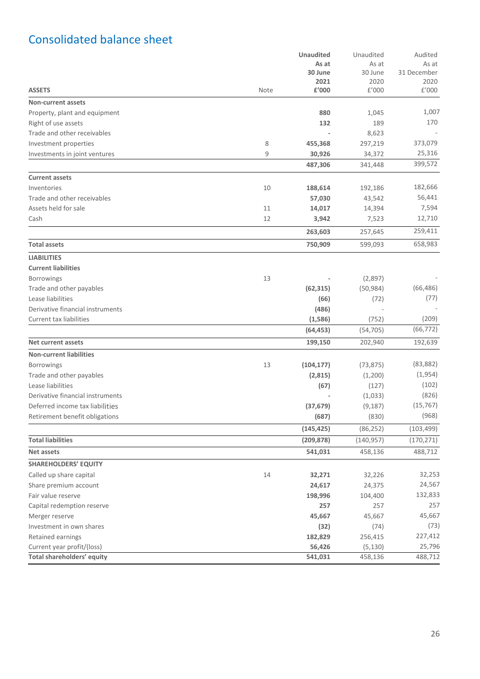# Consolidated balance sheet

|                                  | <b>Unaudited</b> | Unaudited                | Audited    |             |
|----------------------------------|------------------|--------------------------|------------|-------------|
|                                  |                  | As at                    | As at      | As at       |
|                                  |                  | 30 June                  | 30 June    | 31 December |
|                                  |                  | 2021                     | 2020       | 2020        |
| <b>ASSETS</b>                    | Note             | £'000                    | f'000      | £'000       |
| <b>Non-current assets</b>        |                  |                          |            |             |
| Property, plant and equipment    |                  | 880                      | 1,045      | 1,007       |
| Right of use assets              |                  | 132                      | 189        | 170         |
| Trade and other receivables      |                  | $\overline{\phantom{m}}$ | 8,623      |             |
| Investment properties            | 8                | 455,368                  | 297,219    | 373,079     |
| Investments in joint ventures    | 9                | 30,926                   | 34,372     | 25,316      |
|                                  |                  | 487,306                  | 341,448    | 399,572     |
| <b>Current assets</b>            |                  |                          |            |             |
| Inventories                      | 10               | 188,614                  | 192,186    | 182,666     |
| Trade and other receivables      |                  | 57,030                   | 43,542     | 56,441      |
| Assets held for sale             | 11               | 14,017                   | 14,394     | 7,594       |
| Cash                             | 12               | 3,942                    | 7,523      | 12,710      |
|                                  |                  |                          |            |             |
|                                  |                  | 263,603                  | 257,645    | 259,411     |
| <b>Total assets</b>              |                  | 750,909                  | 599,093    | 658,983     |
| <b>LIABILITIES</b>               |                  |                          |            |             |
| <b>Current liabilities</b>       |                  |                          |            |             |
| <b>Borrowings</b>                | 13               |                          | (2,897)    |             |
| Trade and other payables         |                  | (62, 315)                | (50, 984)  | (66, 486)   |
| Lease liabilities                |                  | (66)                     | (72)       | (77)        |
| Derivative financial instruments |                  | (486)                    |            |             |
| Current tax liabilities          |                  | (1,586)                  | (752)      | (209)       |
|                                  |                  | (64, 453)                | (54, 705)  | (66, 772)   |
| <b>Net current assets</b>        |                  | 199,150                  | 202,940    | 192,639     |
| <b>Non-current liabilities</b>   |                  |                          |            |             |
| Borrowings                       | 13               | (104, 177)               | (73, 875)  | (83, 882)   |
|                                  |                  |                          |            |             |
| Trade and other payables         |                  | (2,815)                  | (1,200)    | (1,954)     |
| Lease liabilities                |                  | (67)                     | (127)      | (102)       |
| Derivative financial instruments |                  |                          | (1,033)    | (826)       |
| Deferred income tax liabilities  |                  | (37, 679)                | (9, 187)   | (15, 767)   |
| Retirement benefit obligations   |                  | (687)                    | (830)      | (968)       |
|                                  |                  | (145, 425)               | (86, 252)  | (103, 499)  |
| <b>Total liabilities</b>         |                  | (209, 878)               | (140, 957) | (170, 271)  |
| <b>Net assets</b>                |                  | 541,031                  | 458,136    | 488,712     |
| <b>SHAREHOLDERS' EQUITY</b>      |                  |                          |            |             |
| Called up share capital          | 14               | 32,271                   | 32,226     | 32,253      |
| Share premium account            |                  | 24,617                   | 24,375     | 24,567      |
| Fair value reserve               |                  | 198,996                  | 104,400    | 132,833     |
| Capital redemption reserve       |                  | 257                      | 257        | 257         |
| Merger reserve                   |                  | 45,667                   | 45,667     | 45,667      |
| Investment in own shares         |                  | (32)                     | (74)       | (73)        |
| Retained earnings                |                  | 182,829                  | 256,415    | 227,412     |
| Current year profit/(loss)       |                  | 56,426                   | (5, 130)   | 25,796      |
| Total shareholders' equity       |                  | 541,031                  | 458,136    | 488,712     |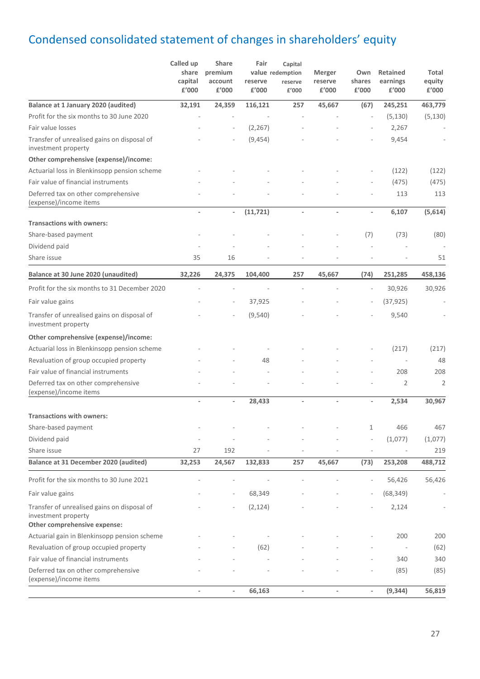# Condensed consolidated statement of changes in shareholders' equity

|                                                                                                    | Called up<br>share<br>capital<br>£'000 | <b>Share</b><br>premium<br>account<br>£'000 | Fair<br>reserve<br>£'000 | Capital<br>value redemption<br>reserve<br>£'000 | Merger<br>reserve<br>£'000 | Own<br>shares<br>£'000       | <b>Retained</b><br>earnings<br>£'000 | Total<br>equity<br>£'000 |
|----------------------------------------------------------------------------------------------------|----------------------------------------|---------------------------------------------|--------------------------|-------------------------------------------------|----------------------------|------------------------------|--------------------------------------|--------------------------|
| Balance at 1 January 2020 (audited)                                                                | 32,191                                 | 24,359                                      | 116,121                  | 257                                             | 45,667                     | (67)                         | 245,251                              | 463,779                  |
| Profit for the six months to 30 June 2020                                                          |                                        |                                             |                          |                                                 |                            |                              | (5, 130)                             | (5, 130)                 |
| Fair value losses                                                                                  |                                        |                                             | (2, 267)                 |                                                 |                            |                              | 2,267                                |                          |
| Transfer of unrealised gains on disposal of<br>investment property                                 |                                        |                                             | (9, 454)                 |                                                 |                            |                              | 9,454                                |                          |
| Other comprehensive (expense)/income:                                                              |                                        |                                             |                          |                                                 |                            |                              |                                      |                          |
| Actuarial loss in Blenkinsopp pension scheme                                                       |                                        |                                             |                          |                                                 |                            | ÷,                           | (122)                                | (122)                    |
| Fair value of financial instruments                                                                |                                        |                                             |                          |                                                 |                            |                              | (475)                                | (475)                    |
| Deferred tax on other comprehensive<br>(expense)/income items                                      |                                        |                                             |                          |                                                 |                            | Ē,                           | 113                                  | 113                      |
|                                                                                                    | $\overline{\phantom{a}}$               |                                             | (11, 721)                | $\overline{\phantom{a}}$                        | ä,                         | $\bar{ }$                    | 6,107                                | (5,614)                  |
| <b>Transactions with owners:</b>                                                                   |                                        |                                             |                          |                                                 |                            |                              |                                      |                          |
| Share-based payment                                                                                |                                        |                                             |                          |                                                 |                            | (7)                          | (73)                                 | (80)                     |
| Dividend paid                                                                                      |                                        |                                             |                          |                                                 |                            |                              |                                      |                          |
| Share issue                                                                                        | 35                                     | 16                                          |                          |                                                 |                            | Ē,                           |                                      | 51                       |
| Balance at 30 June 2020 (unaudited)                                                                | 32,226                                 | 24,375                                      | 104,400                  | 257                                             | 45,667                     | (74)                         | 251,285                              | 458,136                  |
| Profit for the six months to 31 December 2020                                                      |                                        |                                             |                          |                                                 |                            |                              | 30,926                               | 30,926                   |
| Fair value gains                                                                                   |                                        |                                             | 37,925                   |                                                 |                            |                              | (37, 925)                            |                          |
| Transfer of unrealised gains on disposal of<br>investment property                                 |                                        |                                             | (9,540)                  |                                                 |                            |                              | 9,540                                |                          |
| Other comprehensive (expense)/income:                                                              |                                        |                                             |                          |                                                 |                            |                              |                                      |                          |
| Actuarial loss in Blenkinsopp pension scheme                                                       |                                        |                                             |                          |                                                 |                            |                              | (217)                                | (217)                    |
| Revaluation of group occupied property                                                             |                                        |                                             | 48                       |                                                 |                            |                              | i.                                   | 48                       |
| Fair value of financial instruments                                                                |                                        |                                             |                          |                                                 |                            | ÷,                           | 208                                  | 208                      |
| Deferred tax on other comprehensive<br>(expense)/income items                                      |                                        |                                             |                          |                                                 |                            |                              | $\overline{2}$                       | $\overline{2}$           |
|                                                                                                    |                                        |                                             | 28,433                   | $\overline{\phantom{a}}$                        | $\overline{a}$             | $\qquad \qquad \blacksquare$ | 2,534                                | 30,967                   |
| <b>Transactions with owners:</b>                                                                   |                                        |                                             |                          |                                                 |                            |                              |                                      |                          |
| Share-based payment                                                                                |                                        |                                             |                          |                                                 |                            | $\mathbf{1}$                 | 466                                  | 467                      |
| Dividend paid                                                                                      |                                        |                                             |                          |                                                 |                            | ÷,                           | (1,077)                              | (1,077)                  |
| Share issue                                                                                        | 27                                     | 192                                         |                          |                                                 |                            | Ē,                           |                                      | 219                      |
| Balance at 31 December 2020 (audited)                                                              | 32,253                                 | 24,567                                      | 132,833                  | 257                                             | 45,667                     | (73)                         | 253,208                              | 488,712                  |
| Profit for the six months to 30 June 2021                                                          |                                        |                                             |                          |                                                 |                            |                              | 56,426                               | 56,426                   |
| Fair value gains                                                                                   |                                        | $\overline{\phantom{m}}$                    | 68,349                   |                                                 |                            |                              | (68, 349)                            |                          |
| Transfer of unrealised gains on disposal of<br>investment property<br>Other comprehensive expense: |                                        |                                             | (2, 124)                 |                                                 |                            |                              | 2,124                                |                          |
| Actuarial gain in Blenkinsopp pension scheme                                                       |                                        |                                             |                          |                                                 |                            |                              | 200                                  | 200                      |
| Revaluation of group occupied property                                                             |                                        |                                             | (62)                     |                                                 |                            |                              |                                      | (62)                     |
| Fair value of financial instruments                                                                |                                        |                                             |                          |                                                 |                            |                              | 340                                  | 340                      |
| Deferred tax on other comprehensive<br>(expense)/income items                                      |                                        |                                             |                          |                                                 |                            |                              | (85)                                 | (85)                     |
|                                                                                                    | $\overline{\phantom{a}}$               | $\overline{\phantom{0}}$                    | 66,163                   | ä,                                              | $\overline{a}$             | $\overline{\phantom{a}}$     | (9, 344)                             | 56,819                   |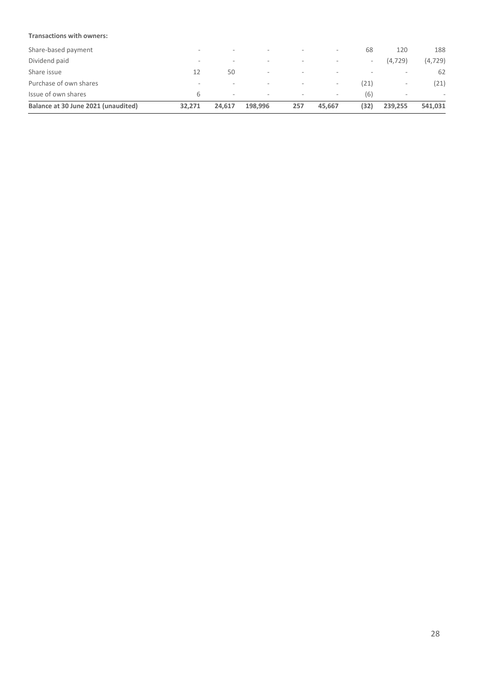#### **Transactions with owners:**

| 32.271                   | 24.617                   | 198,996                  | 257                      | 45.667 | (32) | 239.255                  | 541,031  |
|--------------------------|--------------------------|--------------------------|--------------------------|--------|------|--------------------------|----------|
| 6                        | $\overline{\phantom{a}}$ | $\overline{\phantom{a}}$ | $\overline{\phantom{a}}$ | $\sim$ | (6)  | $\overline{\phantom{a}}$ |          |
| $\overline{\phantom{a}}$ | $\sim$                   | $\sim$                   | $\sim$                   | $\sim$ | (21) | $\overline{\phantom{a}}$ | (21)     |
| 12                       | 50                       | ۰                        | $\sim$                   | $\sim$ | -    | $\sim$                   | 62       |
| $\sim$                   | $\sim$                   | -                        | $\overline{\phantom{a}}$ |        | ٠.   | (4,729)                  | (4, 729) |
| $\overline{\phantom{a}}$ | $\overline{\phantom{a}}$ | -                        | $\overline{\phantom{a}}$ | $\sim$ | 68   | 120                      | 188      |
|                          |                          |                          |                          |        |      |                          |          |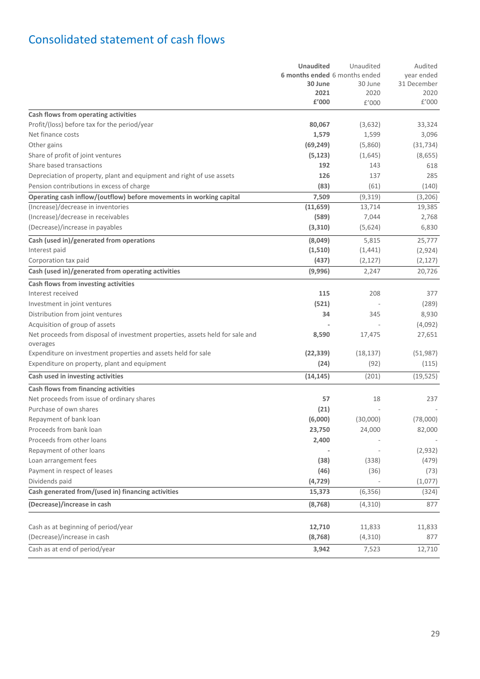## Consolidated statement of cash flows

|                                                                                           | <b>Unaudited</b>                         | Unaudited | Audited     |
|-------------------------------------------------------------------------------------------|------------------------------------------|-----------|-------------|
|                                                                                           | 6 months ended 6 months ended<br>30 June |           | year ended  |
|                                                                                           |                                          | 30 June   | 31 December |
|                                                                                           | 2021                                     | 2020      | 2020        |
|                                                                                           | £'000                                    | £'000     | £'000       |
| Cash flows from operating activities                                                      |                                          |           |             |
| Profit/(loss) before tax for the period/year                                              | 80,067                                   | (3,632)   | 33,324      |
| Net finance costs                                                                         | 1,579                                    | 1,599     | 3,096       |
| Other gains                                                                               | (69, 249)                                | (5,860)   | (31, 734)   |
| Share of profit of joint ventures                                                         | (5, 123)                                 | (1,645)   | (8,655)     |
| Share based transactions                                                                  | 192                                      | 143       | 618         |
| Depreciation of property, plant and equipment and right of use assets                     | 126                                      | 137       | 285         |
| Pension contributions in excess of charge                                                 | (83)                                     | (61)      | (140)       |
| Operating cash inflow/(outflow) before movements in working capital                       | 7,509                                    | (9,319)   | (3,206)     |
| (Increase)/decrease in inventories                                                        | (11, 659)                                | 13,714    | 19,385      |
| (Increase)/decrease in receivables                                                        | (589)                                    | 7,044     | 2,768       |
| (Decrease)/increase in payables                                                           | (3,310)                                  | (5,624)   | 6,830       |
| Cash (used in)/generated from operations                                                  | (8,049)                                  | 5,815     | 25,777      |
| Interest paid                                                                             | (1,510)                                  | (1,441)   | (2,924)     |
| Corporation tax paid                                                                      | (437)                                    | (2, 127)  | (2, 127)    |
| Cash (used in)/generated from operating activities                                        | (9,996)                                  | 2,247     | 20,726      |
| Cash flows from investing activities                                                      |                                          |           |             |
| Interest received                                                                         | 115                                      | 208       | 377         |
| Investment in joint ventures                                                              | (521)                                    |           | (289)       |
| Distribution from joint ventures                                                          | 34                                       | 345       | 8,930       |
| Acquisition of group of assets                                                            |                                          |           | (4,092)     |
| Net proceeds from disposal of investment properties, assets held for sale and<br>overages | 8,590                                    | 17,475    | 27,651      |
| Expenditure on investment properties and assets held for sale                             | (22, 339)                                | (18, 137) | (51, 987)   |
| Expenditure on property, plant and equipment                                              | (24)                                     | (92)      | (115)       |
| Cash used in investing activities                                                         | (14, 145)                                | (201)     | (19, 525)   |
| Cash flows from financing activities                                                      |                                          |           |             |
| Net proceeds from issue of ordinary shares                                                | 57                                       | 18        | 237         |
| Purchase of own shares                                                                    | (21)                                     |           |             |
| Repayment of bank loan                                                                    | (6,000)                                  | (30,000)  | (78,000)    |
| Proceeds from bank loan                                                                   | 23,750                                   | 24,000    | 82,000      |
| Proceeds from other loans                                                                 | 2,400                                    |           |             |
| Repayment of other loans                                                                  |                                          |           | (2,932)     |
| Loan arrangement fees                                                                     | (38)                                     | (338)     | (479)       |
| Payment in respect of leases                                                              | (46)                                     | (36)      | (73)        |
| Dividends paid                                                                            | (4, 729)                                 |           | (1,077)     |
| Cash generated from/(used in) financing activities                                        | 15,373                                   | (6, 356)  | (324)       |
| (Decrease)/increase in cash                                                               | (8, 768)                                 | (4,310)   | 877         |
|                                                                                           |                                          |           |             |
| Cash as at beginning of period/year                                                       | 12,710                                   | 11,833    | 11,833      |
| (Decrease)/increase in cash                                                               | (8, 768)                                 | (4,310)   | 877         |
| Cash as at end of period/year                                                             | 3,942                                    | 7,523     | 12,710      |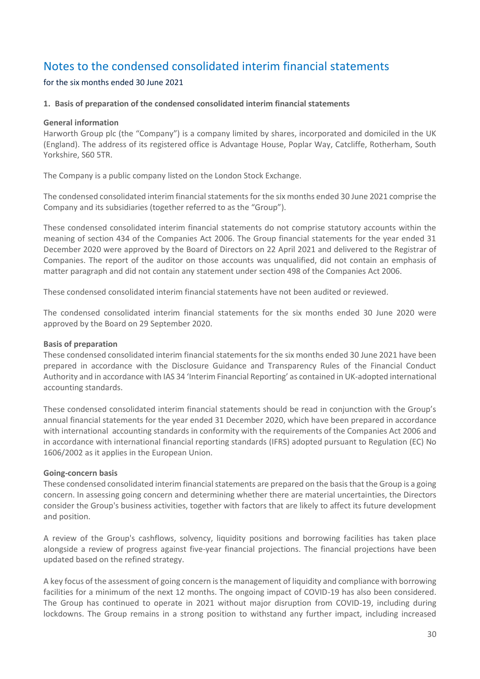### Notes to the condensed consolidated interim financial statements

#### for the six months ended 30 June 2021

#### **1. Basis of preparation of the condensed consolidated interim financial statements**

#### **General information**

Harworth Group plc (the "Company") is a company limited by shares, incorporated and domiciled in the UK (England). The address of its registered office is Advantage House, Poplar Way, Catcliffe, Rotherham, South Yorkshire, S60 5TR.

The Company is a public company listed on the London Stock Exchange.

The condensed consolidated interim financial statements for the six months ended 30 June 2021 comprise the Company and its subsidiaries (together referred to as the "Group").

These condensed consolidated interim financial statements do not comprise statutory accounts within the meaning of section 434 of the Companies Act 2006. The Group financial statements for the year ended 31 December 2020 were approved by the Board of Directors on 22 April 2021 and delivered to the Registrar of Companies. The report of the auditor on those accounts was unqualified, did not contain an emphasis of matter paragraph and did not contain any statement under section 498 of the Companies Act 2006.

These condensed consolidated interim financial statements have not been audited or reviewed.

The condensed consolidated interim financial statements for the six months ended 30 June 2020 were approved by the Board on 29 September 2020.

#### **Basis of preparation**

These condensed consolidated interim financial statements for the six months ended 30 June 2021 have been prepared in accordance with the Disclosure Guidance and Transparency Rules of the Financial Conduct Authority and in accordance with IAS 34 'Interim Financial Reporting' as contained in UK-adopted international accounting standards.

These condensed consolidated interim financial statements should be read in conjunction with the Group's annual financial statements for the year ended 31 December 2020, which have been prepared in accordance with international accounting standards in conformity with the requirements of the Companies Act 2006 and in accordance with international financial reporting standards (IFRS) adopted pursuant to Regulation (EC) No 1606/2002 as it applies in the European Union.

#### **Going-concern basis**

These condensed consolidated interim financial statements are prepared on the basis that the Group is a going concern. In assessing going concern and determining whether there are material uncertainties, the Directors consider the Group's business activities, together with factors that are likely to affect its future development and position.

A review of the Group's cashflows, solvency, liquidity positions and borrowing facilities has taken place alongside a review of progress against five-year financial projections. The financial projections have been updated based on the refined strategy.

A key focus of the assessment of going concern is the management of liquidity and compliance with borrowing facilities for a minimum of the next 12 months. The ongoing impact of COVID-19 has also been considered. The Group has continued to operate in 2021 without major disruption from COVID-19, including during lockdowns. The Group remains in a strong position to withstand any further impact, including increased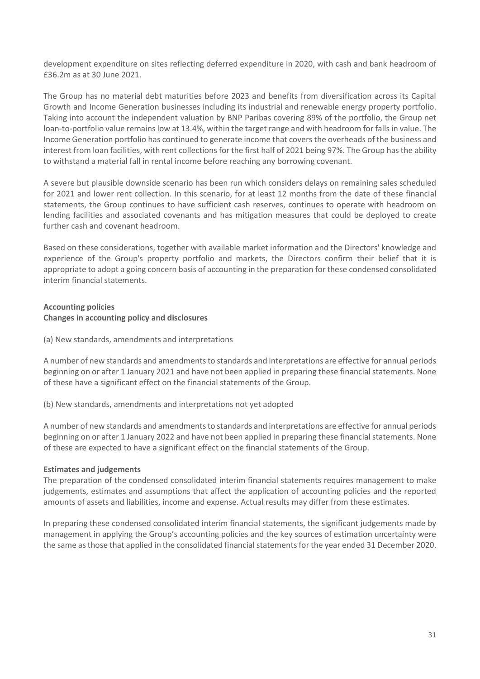development expenditure on sites reflecting deferred expenditure in 2020, with cash and bank headroom of £36.2m as at 30 June 2021.

The Group has no material debt maturities before 2023 and benefits from diversification across its Capital Growth and Income Generation businesses including its industrial and renewable energy property portfolio. Taking into account the independent valuation by BNP Paribas covering 89% of the portfolio, the Group net loan-to-portfolio value remains low at 13.4%, within the target range and with headroom for falls in value. The Income Generation portfolio has continued to generate income that covers the overheads of the business and interest from loan facilities, with rent collections for the first half of 2021 being 97%. The Group has the ability to withstand a material fall in rental income before reaching any borrowing covenant.

A severe but plausible downside scenario has been run which considers delays on remaining sales scheduled for 2021 and lower rent collection. In this scenario, for at least 12 months from the date of these financial statements, the Group continues to have sufficient cash reserves, continues to operate with headroom on lending facilities and associated covenants and has mitigation measures that could be deployed to create further cash and covenant headroom.

Based on these considerations, together with available market information and the Directors' knowledge and experience of the Group's property portfolio and markets, the Directors confirm their belief that it is appropriate to adopt a going concern basis of accounting in the preparation for these condensed consolidated interim financial statements.

#### **Accounting policies**

#### **Changes in accounting policy and disclosures**

(a) New standards, amendments and interpretations

A number of new standards and amendments to standards and interpretations are effective for annual periods beginning on or after 1 January 2021 and have not been applied in preparing these financial statements. None of these have a significant effect on the financial statements of the Group.

(b) New standards, amendments and interpretations not yet adopted

A number of new standards and amendments to standards and interpretations are effective for annual periods beginning on or after 1 January 2022 and have not been applied in preparing these financial statements. None of these are expected to have a significant effect on the financial statements of the Group.

#### **Estimates and judgements**

The preparation of the condensed consolidated interim financial statements requires management to make judgements, estimates and assumptions that affect the application of accounting policies and the reported amounts of assets and liabilities, income and expense. Actual results may differ from these estimates.

In preparing these condensed consolidated interim financial statements, the significant judgements made by management in applying the Group's accounting policies and the key sources of estimation uncertainty were the same as those that applied in the consolidated financial statements for the year ended 31 December 2020.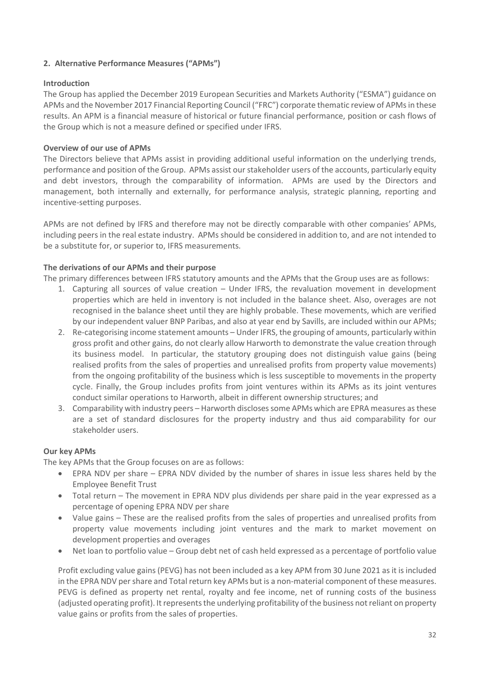#### **2. Alternative Performance Measures ("APMs")**

#### **Introduction**

The Group has applied the December 2019 European Securities and Markets Authority ("ESMA") guidance on APMs and the November 2017 Financial Reporting Council ("FRC") corporate thematic review of APMs in these results. An APM is a financial measure of historical or future financial performance, position or cash flows of the Group which is not a measure defined or specified under IFRS.

#### **Overview of our use of APMs**

The Directors believe that APMs assist in providing additional useful information on the underlying trends, performance and position of the Group. APMs assist our stakeholder users of the accounts, particularly equity and debt investors, through the comparability of information. APMs are used by the Directors and management, both internally and externally, for performance analysis, strategic planning, reporting and incentive-setting purposes.

APMs are not defined by IFRS and therefore may not be directly comparable with other companies' APMs, including peers in the real estate industry. APMs should be considered in addition to, and are not intended to be a substitute for, or superior to, IFRS measurements.

#### **The derivations of our APMs and their purpose**

The primary differences between IFRS statutory amounts and the APMs that the Group uses are as follows:

- 1. Capturing all sources of value creation Under IFRS, the revaluation movement in development properties which are held in inventory is not included in the balance sheet. Also, overages are not recognised in the balance sheet until they are highly probable. These movements, which are verified by our independent valuer BNP Paribas, and also at year end by Savills, are included within our APMs;
- 2. Re-categorising income statement amounts Under IFRS, the grouping of amounts, particularly within gross profit and other gains, do not clearly allow Harworth to demonstrate the value creation through its business model. In particular, the statutory grouping does not distinguish value gains (being realised profits from the sales of properties and unrealised profits from property value movements) from the ongoing profitability of the business which is less susceptible to movements in the property cycle. Finally, the Group includes profits from joint ventures within its APMs as its joint ventures conduct similar operations to Harworth, albeit in different ownership structures; and
- 3. Comparability with industry peers Harworth discloses some APMs which are EPRA measures asthese are a set of standard disclosures for the property industry and thus aid comparability for our stakeholder users.

#### **Our key APMs**

The key APMs that the Group focuses on are as follows:

- EPRA NDV per share EPRA NDV divided by the number of shares in issue less shares held by the Employee Benefit Trust
- Total return The movement in EPRA NDV plus dividends per share paid in the year expressed as a percentage of opening EPRA NDV per share
- Value gains These are the realised profits from the sales of properties and unrealised profits from property value movements including joint ventures and the mark to market movement on development properties and overages
- Net loan to portfolio value Group debt net of cash held expressed as a percentage of portfolio value

Profit excluding value gains (PEVG) has not been included as a key APM from 30 June 2021 as it is included in the EPRA NDV per share and Total return key APMs but is a non-material component of these measures. PEVG is defined as property net rental, royalty and fee income, net of running costs of the business (adjusted operating profit). Itrepresents the underlying profitability of the business not reliant on property value gains or profits from the sales of properties.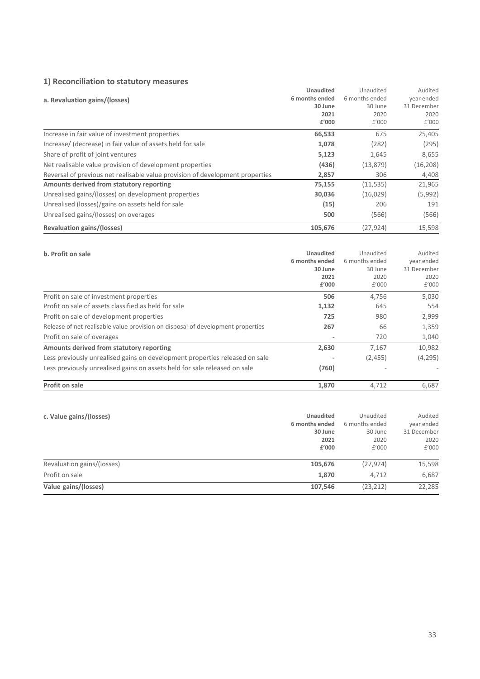#### **1) Reconciliation to statutory measures**

| a. Revaluation gains/(losses)                                                 | <b>Unaudited</b><br>6 months ended<br>30 June<br>2021<br>£'000 | Unaudited<br>6 months ended<br>30 June<br>2020<br>f'000 | Audited<br>year ended<br>31 December<br>2020<br>f'000 |
|-------------------------------------------------------------------------------|----------------------------------------------------------------|---------------------------------------------------------|-------------------------------------------------------|
| Increase in fair value of investment properties                               | 66,533                                                         | 675                                                     | 25,405                                                |
| Increase/ (decrease) in fair value of assets held for sale                    | 1,078                                                          | (282)                                                   | (295)                                                 |
| Share of profit of joint ventures                                             | 5,123                                                          | 1,645                                                   | 8,655                                                 |
| Net realisable value provision of development properties                      | (436)                                                          | (13, 879)                                               | (16, 208)                                             |
| Reversal of previous net realisable value provision of development properties | 2,857                                                          | 306                                                     | 4,408                                                 |
| Amounts derived from statutory reporting                                      | 75,155                                                         | (11, 535)                                               | 21,965                                                |
| Unrealised gains/(losses) on development properties                           | 30,036                                                         | (16,029)                                                | (5,992)                                               |
| Unrealised (losses)/gains on assets held for sale                             | (15)                                                           | 206                                                     | 191                                                   |
| Unrealised gains/(losses) on overages                                         | 500                                                            | (566)                                                   | (566)                                                 |
| <b>Revaluation gains/(losses)</b>                                             | 105,676                                                        | (27, 924)                                               | 15,598                                                |

| b. Profit on sale                                                               | Unaudited<br>6 months ended<br>30 June<br>2021<br>£'000 | Unaudited<br>6 months ended<br>30 June<br>2020<br>f'000 | Audited<br>year ended<br>31 December<br>2020<br>f'000 |
|---------------------------------------------------------------------------------|---------------------------------------------------------|---------------------------------------------------------|-------------------------------------------------------|
| Profit on sale of investment properties                                         | 506                                                     | 4,756                                                   | 5,030                                                 |
| Profit on sale of assets classified as held for sale                            | 1,132                                                   | 645                                                     | 554                                                   |
| Profit on sale of development properties                                        | 725                                                     | 980                                                     | 2,999                                                 |
| Release of net realisable value provision on disposal of development properties | 267                                                     | 66                                                      | 1,359                                                 |
| Profit on sale of overages                                                      |                                                         | 720                                                     | 1,040                                                 |
| Amounts derived from statutory reporting                                        | 2,630                                                   | 7,167                                                   | 10,982                                                |
| Less previously unrealised gains on development properties released on sale     |                                                         | (2,455)                                                 | (4, 295)                                              |
| Less previously unrealised gains on assets held for sale released on sale       | (760)                                                   |                                                         |                                                       |
| Profit on sale                                                                  | 1,870                                                   | 4,712                                                   | 6,687                                                 |

| c. Value gains/(losses)    | <b>Unaudited</b><br>6 months ended<br>30 June<br>2021<br>£'000 | Unaudited<br>6 months ended<br>30 June<br>2020<br>f'000 | Audited<br>year ended<br>31 December<br>2020<br>f'000 |
|----------------------------|----------------------------------------------------------------|---------------------------------------------------------|-------------------------------------------------------|
| Revaluation gains/(losses) | 105,676                                                        | (27, 924)                                               | 15,598                                                |
| Profit on sale             | 1.870                                                          | 4.712                                                   | 6,687                                                 |
| Value gains/(losses)       | 107,546                                                        | (23, 212)                                               | 22,285                                                |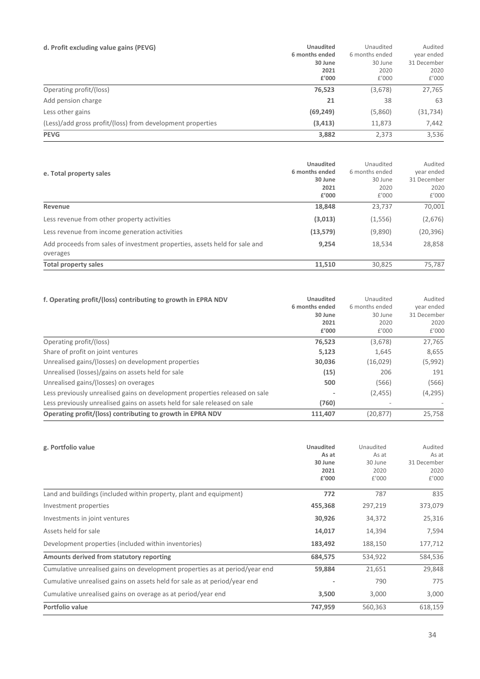| d. Profit excluding value gains (PEVG)                     | Unaudited<br>6 months ended<br>30 June<br>2021 | Unaudited<br>6 months ended<br>30 June<br>2020 | Audited<br>year ended<br>31 December<br>2020 |
|------------------------------------------------------------|------------------------------------------------|------------------------------------------------|----------------------------------------------|
|                                                            | £'000                                          | f'000                                          | f'000                                        |
| Operating profit/(loss)                                    | 76,523                                         | (3,678)                                        | 27,765                                       |
| Add pension charge                                         | 21                                             | 38                                             | 63                                           |
| Less other gains                                           | (69, 249)                                      | (5,860)                                        | (31, 734)                                    |
| (Less)/add gross profit/(loss) from development properties | (3, 413)                                       | 11,873                                         | 7,442                                        |
| <b>PEVG</b>                                                | 3,882                                          | 2,373                                          | 3,536                                        |

| e. Total property sales                                                                | Unaudited<br>6 months ended<br>30 June<br>2021<br>£'000 | Unaudited<br>6 months ended<br>30 June<br>2020<br>f'000 | Audited<br>year ended<br>31 December<br>2020<br>f'000 |
|----------------------------------------------------------------------------------------|---------------------------------------------------------|---------------------------------------------------------|-------------------------------------------------------|
| Revenue                                                                                | 18,848                                                  | 23,737                                                  | 70,001                                                |
| Less revenue from other property activities                                            | (3,013)                                                 | (1, 556)                                                | (2,676)                                               |
| Less revenue from income generation activities                                         | (13, 579)                                               | (9,890)                                                 | (20, 396)                                             |
| Add proceeds from sales of investment properties, assets held for sale and<br>overages | 9,254                                                   | 18,534                                                  | 28,858                                                |
| <b>Total property sales</b>                                                            | 11,510                                                  | 30,825                                                  | 75,787                                                |

| f. Operating profit/(loss) contributing to growth in EPRA NDV               | <b>Unaudited</b><br>6 months ended<br>30 June<br>2021<br>£'000 | Unaudited<br>6 months ended<br>30 June<br>2020<br>£'000 | Audited<br>year ended<br>31 December<br>2020<br>f'000 |
|-----------------------------------------------------------------------------|----------------------------------------------------------------|---------------------------------------------------------|-------------------------------------------------------|
| Operating profit/(loss)                                                     | 76,523                                                         | (3,678)                                                 | 27,765                                                |
| Share of profit on joint ventures                                           | 5,123                                                          | 1,645                                                   | 8,655                                                 |
| Unrealised gains/(losses) on development properties                         | 30,036                                                         | (16,029)                                                | (5,992)                                               |
| Unrealised (losses)/gains on assets held for sale                           | (15)                                                           | 206                                                     | 191                                                   |
| Unrealised gains/(losses) on overages                                       | 500                                                            | (566)                                                   | (566)                                                 |
| Less previously unrealised gains on development properties released on sale | $\overline{\phantom{a}}$                                       | (2, 455)                                                | (4, 295)                                              |
| Less previously unrealised gains on assets held for sale released on sale   | (760)                                                          | $\overline{\phantom{a}}$                                |                                                       |
| Operating profit/(loss) contributing to growth in EPRA NDV                  | 111,407                                                        | (20, 877)                                               | 25.758                                                |

| g. Portfolio value                                                          | <b>Unaudited</b><br>As at<br>30 June<br>2021<br>£'000 | Unaudited<br>As at<br>30 June<br>2020<br>f'000 | Audited<br>As at<br>31 December<br>2020<br>£'000 |
|-----------------------------------------------------------------------------|-------------------------------------------------------|------------------------------------------------|--------------------------------------------------|
| Land and buildings (included within property, plant and equipment)          | 772                                                   | 787                                            | 835                                              |
| Investment properties                                                       | 455,368                                               | 297,219                                        | 373,079                                          |
| Investments in joint ventures                                               | 30,926                                                | 34,372                                         | 25,316                                           |
| Assets held for sale                                                        | 14,017                                                | 14,394                                         | 7,594                                            |
| Development properties (included within inventories)                        | 183,492                                               | 188,150                                        | 177,712                                          |
| Amounts derived from statutory reporting                                    | 684,575                                               | 534,922                                        | 584,536                                          |
| Cumulative unrealised gains on development properties as at period/year end | 59,884                                                | 21,651                                         | 29,848                                           |
| Cumulative unrealised gains on assets held for sale as at period/year end   |                                                       | 790                                            | 775                                              |
| Cumulative unrealised gains on overage as at period/year end                | 3,500                                                 | 3,000                                          | 3,000                                            |
| Portfolio value                                                             | 747,959                                               | 560.363                                        | 618,159                                          |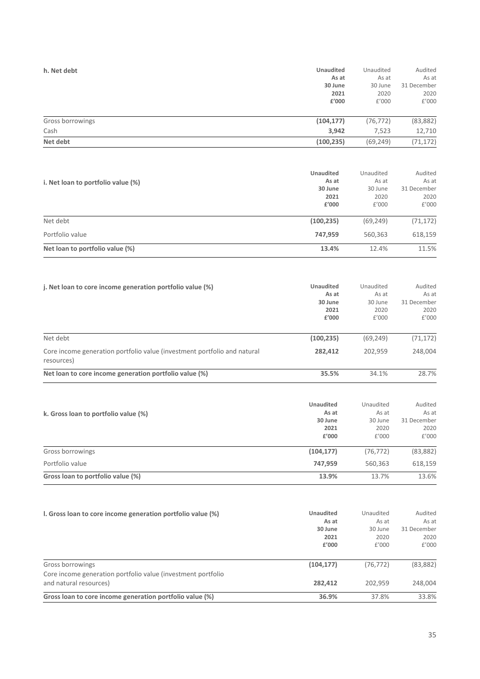| h. Net debt      | <b>Unaudited</b><br>As at<br>30 June<br>2021<br>£'000 | Unaudited<br>As at<br>30 June<br>2020<br>f'000 | Audited<br>As at<br>31 December<br>2020<br>£'000 |
|------------------|-------------------------------------------------------|------------------------------------------------|--------------------------------------------------|
| Gross borrowings | (104, 177)                                            | (76, 772)                                      | (83, 882)                                        |
| Cash             | 3,942                                                 | 7,523                                          | 12,710                                           |
| Net debt         | (100, 235)                                            | (69, 249)                                      | (71, 172)                                        |

|                                    | <b>Unaudited</b> | Unaudited | Audited     |
|------------------------------------|------------------|-----------|-------------|
| i. Net loan to portfolio value (%) | As at            | As at     | As at       |
|                                    | 30 June          | 30 June   | 31 December |
|                                    | 2021             | 2020      | 2020        |
|                                    | £'000            | f'000     | £'000       |
| Net debt                           | (100, 235)       | (69, 249) | (71, 172)   |
| Portfolio value                    | 747,959          | 560,363   | 618,159     |
| Net loan to portfolio value (%)    | 13.4%            | 12.4%     | 11.5%       |
|                                    |                  |           |             |

| j. Net loan to core income generation portfolio value (%)                              | Unaudited<br>As at<br>30 June<br>2021<br>£'000 | Unaudited<br>As at<br>30 June<br>2020<br>f'000 | Audited<br>As at<br>31 December<br>2020<br>f'000 |
|----------------------------------------------------------------------------------------|------------------------------------------------|------------------------------------------------|--------------------------------------------------|
| Net debt                                                                               | (100, 235)                                     | (69, 249)                                      | (71, 172)                                        |
| Core income generation portfolio value (investment portfolio and natural<br>resources) | 282,412                                        | 202.959                                        | 248.004                                          |
| Net loan to core income generation portfolio value (%)                                 | 35.5%                                          | 34.1%                                          | 28.7%                                            |

| k. Gross loan to portfolio value (%) | <b>Unaudited</b><br>As at<br>30 June<br>2021<br>£'000 | Unaudited<br>As at<br>30 June<br>2020<br>£'000 | Audited<br>As at<br>31 December<br>2020<br>f'000 |
|--------------------------------------|-------------------------------------------------------|------------------------------------------------|--------------------------------------------------|
| Gross borrowings                     | (104, 177)                                            | (76, 772)                                      | (83, 882)                                        |
| Portfolio value                      | 747.959                                               | 560,363                                        | 618,159                                          |
| Gross loan to portfolio value (%)    | 13.9%                                                 | 13.7%                                          | 13.6%                                            |

| I. Gross loan to core income generation portfolio value (%)                            | Unaudited<br>As at<br>30 June<br>2021<br>£'000 | Unaudited<br>As at<br>30 June<br>2020<br>f'000 | Audited<br>As at<br>31 December<br>2020<br>f'000 |
|----------------------------------------------------------------------------------------|------------------------------------------------|------------------------------------------------|--------------------------------------------------|
| Gross borrowings                                                                       | (104, 177)                                     | (76, 772)                                      | (83, 882)                                        |
| Core income generation portfolio value (investment portfolio<br>and natural resources) | 282.412                                        | 202.959                                        | 248.004                                          |
| Gross loan to core income generation portfolio value (%)                               | 36.9%                                          | 37.8%                                          | 33.8%                                            |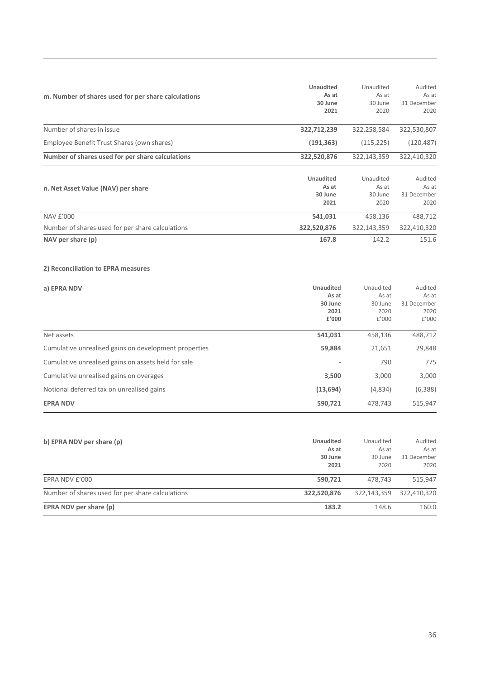| m. Number of shares used for per share calculations | Unaudited<br>As at<br>30 June<br>2021        | Unaudited<br>As at<br>30 June<br>2020 | Audited<br>As at<br>31 December<br>2020 |
|-----------------------------------------------------|----------------------------------------------|---------------------------------------|-----------------------------------------|
| Number of shares in issue                           | 322,712,239                                  | 322,258,584                           | 322,530,807                             |
| Employee Benefit Trust Shares (own shares)          | (191, 363)                                   | (115, 225)                            | (120, 487)                              |
| Number of shares used for per share calculations    | 322,520,876                                  | 322,143,359                           | 322,410,320                             |
| n. Net Asset Value (NAV) per share                  | <b>Unaudited</b><br>As at<br>30 June<br>2021 | Unaudited<br>As at<br>30 June<br>2020 | Audited<br>As at<br>31 December<br>2020 |
| NAV £'000                                           | 541,031                                      | 458,136                               | 488,712                                 |
| Number of shares used for per share calculations    | 322,520,876                                  | 322,143,359                           | 322,410,320                             |
| NAV per share $(p)$                                 | 167.8                                        | 142.2                                 | 151.6                                   |

#### **2) Reconciliation to EPRA measures**

| a) EPRA NDV                                           | <b>Unaudited</b> | Unaudited | Audited<br>As at<br>31 December |
|-------------------------------------------------------|------------------|-----------|---------------------------------|
|                                                       | As at            | As at     |                                 |
|                                                       | 30 June          | 30 June   |                                 |
|                                                       | 2021             | 2020      | 2020                            |
|                                                       | £'000            | f'000     | f'000                           |
| Net assets                                            | 541,031          | 458,136   | 488,712                         |
| Cumulative unrealised gains on development properties | 59,884           | 21,651    | 29,848                          |
| Cumulative unrealised gains on assets held for sale   |                  | 790       | 775                             |
| Cumulative unrealised gains on overages               | 3,500            | 3,000     | 3,000                           |
| Notional deferred tax on unrealised gains             | (13, 694)        | (4,834)   | (6,388)                         |
| <b>EPRA NDV</b>                                       | 590,721          | 478.743   | 515,947                         |

| b) EPRA NDV per share (p)                        | <b>Unaudited</b><br>As at<br>30 June<br>2021 | Unaudited<br>As at<br>30 June<br>2020 | Audited<br>As at<br>31 December<br>2020 |
|--------------------------------------------------|----------------------------------------------|---------------------------------------|-----------------------------------------|
| EPRA NDV £'000                                   | 590.721                                      | 478.743                               | 515.947                                 |
| Number of shares used for per share calculations | 322.520.876                                  | 322,143,359                           | 322,410,320                             |
| EPRA NDV per share (p)                           | 183.2                                        | 148.6                                 | 160.0                                   |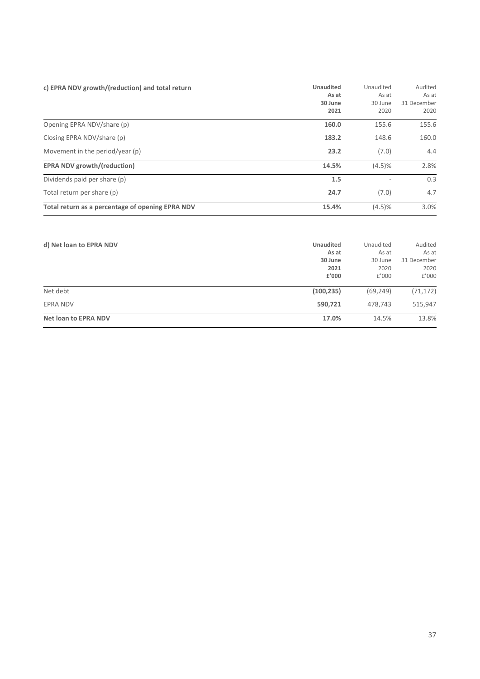| c) EPRA NDV growth/(reduction) and total return  | <b>Unaudited</b><br>As at<br>30 June<br>2021 | Unaudited<br>As at<br>30 June<br>2020 | Audited<br>As at<br>31 December<br>2020 |
|--------------------------------------------------|----------------------------------------------|---------------------------------------|-----------------------------------------|
| Opening EPRA NDV/share (p)                       | 160.0                                        | 155.6                                 | 155.6                                   |
| Closing EPRA NDV/share (p)                       | 183.2                                        | 148.6                                 | 160.0                                   |
| Movement in the period/year $(p)$                | 23.2                                         | (7.0)                                 | 4.4                                     |
| <b>EPRA NDV growth/(reduction)</b>               | 14.5%                                        | (4.5)%                                | 2.8%                                    |
| Dividends paid per share (p)                     | 1.5                                          |                                       | 0.3                                     |
| Total return per share (p)                       | 24.7                                         | (7.0)                                 | 4.7                                     |
| Total return as a percentage of opening EPRA NDV | 15.4%                                        | (4.5)%                                | 3.0%                                    |

| d) Net loan to EPRA NDV     | <b>Unaudited</b> | Unaudited | Audited     |
|-----------------------------|------------------|-----------|-------------|
|                             | As at            | As at     | As at       |
|                             | 30 June          | 30 June   | 31 December |
|                             | 2021             | 2020      | 2020        |
|                             | £'000            | f'000     | £'000       |
| Net debt                    | (100, 235)       | (69, 249) | (71, 172)   |
| EPRA NDV                    | 590,721          | 478,743   | 515,947     |
| <b>Net loan to EPRA NDV</b> | 17.0%            | 14.5%     | 13.8%       |
|                             |                  |           |             |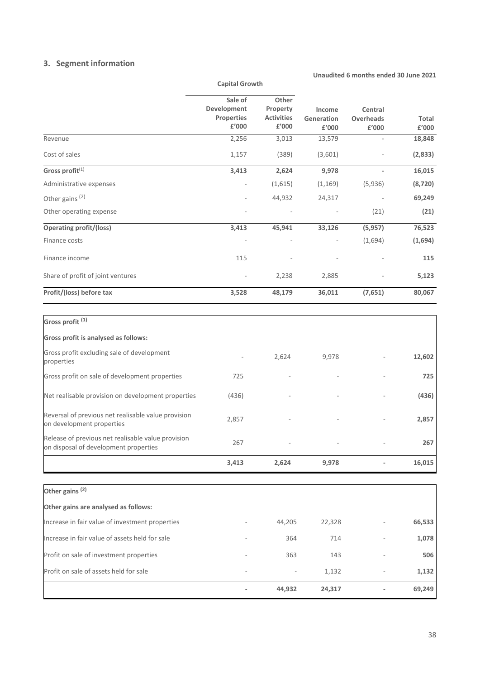#### **3. Segment information**

**Unaudited 6 months ended 30 June 2021 Capital Growth Income Generation £'000 Central Overheads £'000 Total £'000 Sale of Development Properties £'000 Other Property Activities £'000** Revenue 2,256 3,013 13,579 - **18,848** Cost of sales 1,157 (389) (3,601) - **(2,833) Gross profit**(1) **3,413 2,624 9,978 - 16,015** Administrative expenses **and a set of the contract of the contract (1,615)** (1,169) (5,936) **(8,720)** Other gains <sup>(2)</sup> **69,249 1 69,249** Other operating expense **and a set of the contract of the contract of the contract of the contract of the contract of the contract of the contract of the contract of the contract of the contract of the contract of the cont Operating profit/(loss) 3,413 45,941 33,126 (5,957) 76,523** Finance costs - - - (1,694) **(1,694)** Finance income **115** 115 - 115 - 115 **115** 115 - 115 Share of profit of joint ventures **5,123** 2,238 2,885 - 5,123 **Profit/(loss) before tax 3,528 48,179 36,011 (7,651) 80,067**

| Gross profit <sup>(1)</sup>                                                                 |       |       |       |        |
|---------------------------------------------------------------------------------------------|-------|-------|-------|--------|
| Gross profit is analysed as follows:                                                        |       |       |       |        |
| Gross profit excluding sale of development<br>properties                                    |       | 2,624 | 9,978 | 12,602 |
| Gross profit on sale of development properties                                              | 725   |       |       | 725    |
| Net realisable provision on development properties                                          | (436) |       |       | (436)  |
| Reversal of previous net realisable value provision<br>on development properties            | 2,857 |       |       | 2,857  |
| Release of previous net realisable value provision<br>on disposal of development properties | 267   |       |       | 267    |
|                                                                                             | 3,413 | 2,624 | 9,978 | 16,015 |

| Other gains <sup>(2)</sup>                      |                          |        |        |                          |        |
|-------------------------------------------------|--------------------------|--------|--------|--------------------------|--------|
| Other gains are analysed as follows:            |                          |        |        |                          |        |
| Increase in fair value of investment properties |                          | 44,205 | 22,328 |                          | 66,533 |
| Increase in fair value of assets held for sale  | ٠                        | 364    | 714    |                          | 1,078  |
| Profit on sale of investment properties         | $\overline{\phantom{a}}$ | 363    | 143    |                          | 506    |
| Profit on sale of assets held for sale          | $\overline{\phantom{a}}$ | -      | 1,132  | $\overline{\phantom{a}}$ | 1,132  |
|                                                 | ٠                        | 44,932 | 24,317 |                          | 69,249 |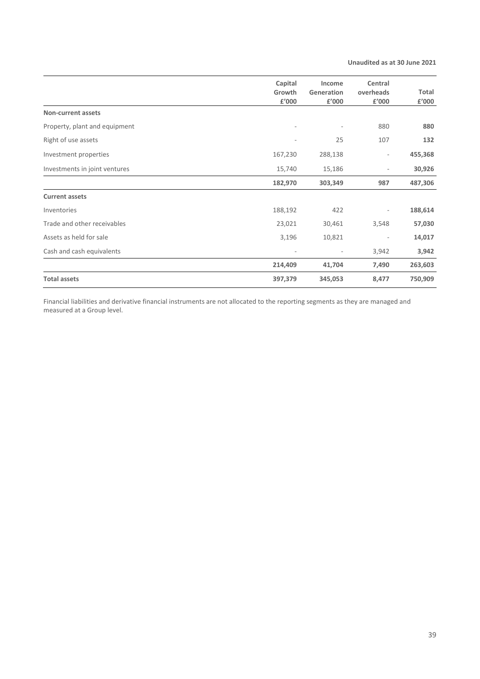**Unaudited as at 30 June 2021**

|                               | Capital<br>Growth<br>£'000 | Income<br>Generation<br>£'000 | Central<br>overheads<br>£'000 | Total<br>£'000 |
|-------------------------------|----------------------------|-------------------------------|-------------------------------|----------------|
| <b>Non-current assets</b>     |                            |                               |                               |                |
| Property, plant and equipment |                            |                               | 880                           | 880            |
| Right of use assets           | $\overline{\phantom{m}}$   | 25                            | 107                           | 132            |
| Investment properties         | 167,230                    | 288,138                       | $\overline{\phantom{a}}$      | 455,368        |
| Investments in joint ventures | 15,740                     | 15,186                        | $\overline{a}$                | 30,926         |
|                               | 182,970                    | 303,349                       | 987                           | 487,306        |
| <b>Current assets</b>         |                            |                               |                               |                |
| Inventories                   | 188,192                    | 422                           | $\overline{\phantom{a}}$      | 188,614        |
| Trade and other receivables   | 23,021                     | 30,461                        | 3,548                         | 57,030         |
| Assets as held for sale       | 3,196                      | 10,821                        | -                             | 14,017         |
| Cash and cash equivalents     | ٠                          | $\overline{\phantom{a}}$      | 3,942                         | 3,942          |
|                               | 214,409                    | 41,704                        | 7,490                         | 263,603        |
| <b>Total assets</b>           | 397,379                    | 345,053                       | 8,477                         | 750,909        |

Financial liabilities and derivative financial instruments are not allocated to the reporting segments as they are managed and measured at a Group level.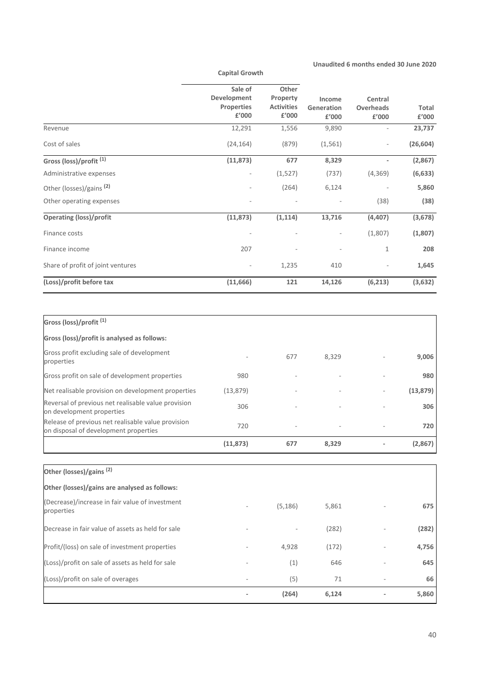**Capital Growth Income Generation £'000 Central Overheads £'000 Total £'000 Sale of Development Properties £'000 Other Property Activities £'000** Revenue 12,291 1,556 9,890 - **23,737** Cost of sales (24,164) (879) (1,561) - **(26,604) Gross (loss)/profit (1) (11,873) 677 8,329 - (2,867)** Administrative expenses **(1,527)** (737) (4,369) **(6,633)** Other (losses)/gains <sup>(2)</sup> 5,860 Other operating expenses - - - (38) **(38) Operating (loss)/profit (11,873) (1,114) 13,716 (4,407) (3,678)** Finance costs - - - (1,807) **(1,807)** Finance income 207 - - 1 **208** Share of profit of joint ventures **1,235** 410 - **1,645 (Loss)/profit before tax (11,666) 121 14,126 (6,213) (3,632)**

|                                                                                             | (11, 873) | 677                      | 8,329 | (2,867)   |
|---------------------------------------------------------------------------------------------|-----------|--------------------------|-------|-----------|
| Release of previous net realisable value provision<br>on disposal of development properties | 720       | $\overline{\phantom{a}}$ | ٠     | 720       |
| Reversal of previous net realisable value provision<br>on development properties            | 306       |                          |       | 306       |
| Net realisable provision on development properties                                          | (13,879)  |                          |       | (13, 879) |
| Gross profit on sale of development properties                                              | 980       |                          |       | 980       |
| Gross profit excluding sale of development<br>properties                                    |           | 677                      | 8,329 | 9,006     |
| Gross (loss)/profit is analysed as follows:                                                 |           |                          |       |           |
| Gross (loss)/profit <sup>(1)</sup>                                                          |           |                          |       |           |

| Other (losses)/gains (2)                                      |          |       |                          |       |
|---------------------------------------------------------------|----------|-------|--------------------------|-------|
| Other (losses)/gains are analysed as follows:                 |          |       |                          |       |
| (Decrease)/increase in fair value of investment<br>properties | (5, 186) | 5,861 |                          | 675   |
| Decrease in fair value of assets as held for sale             | ۰        | (282) | $\overline{\phantom{a}}$ | (282) |
| Profit/(loss) on sale of investment properties                | 4,928    | (172) | ۰                        | 4,756 |
| (Loss)/profit on sale of assets as held for sale              | (1)      | 646   | ۰                        | 645   |
| (Loss)/profit on sale of overages                             | (5)      | 71    | ۰                        | 66    |
|                                                               | (264)    | 6,124 |                          | 5,860 |

**Unaudited 6 months ended 30 June 2020**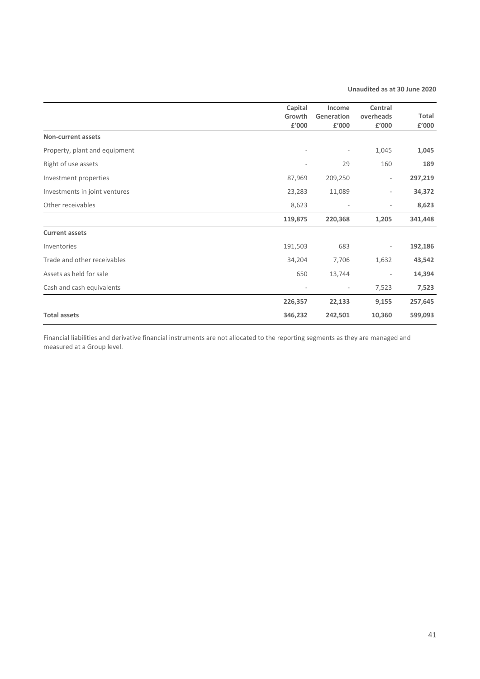**Unaudited as at 30 June 2020**

|                               | Capital<br>Growth | Income<br>Generation     | Central<br>overheads     | Total   |
|-------------------------------|-------------------|--------------------------|--------------------------|---------|
|                               | £'000             | £'000                    | £'000                    | £'000   |
| <b>Non-current assets</b>     |                   |                          |                          |         |
| Property, plant and equipment |                   |                          | 1,045                    | 1,045   |
| Right of use assets           |                   | 29                       | 160                      | 189     |
| Investment properties         | 87,969            | 209,250                  | $\overline{\phantom{a}}$ | 297,219 |
| Investments in joint ventures | 23,283            | 11,089                   | -                        | 34,372  |
| Other receivables             | 8,623             |                          |                          | 8,623   |
|                               | 119,875           | 220,368                  | 1,205                    | 341,448 |
| <b>Current assets</b>         |                   |                          |                          |         |
| Inventories                   | 191,503           | 683                      | $\overline{\phantom{0}}$ | 192,186 |
| Trade and other receivables   | 34,204            | 7,706                    | 1,632                    | 43,542  |
| Assets as held for sale       | 650               | 13,744                   | $\overline{\phantom{a}}$ | 14,394  |
| Cash and cash equivalents     |                   | $\overline{\phantom{a}}$ | 7,523                    | 7,523   |
|                               | 226,357           | 22,133                   | 9,155                    | 257,645 |
| <b>Total assets</b>           | 346,232           | 242,501                  | 10,360                   | 599,093 |

Financial liabilities and derivative financial instruments are not allocated to the reporting segments as they are managed and measured at a Group level.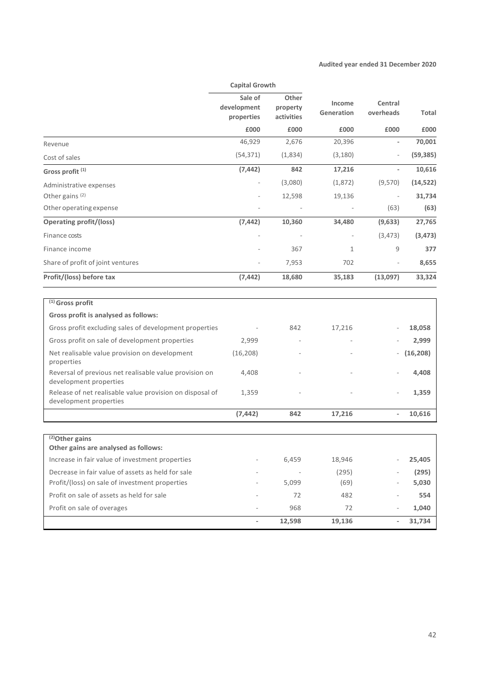|                                                                                    | <b>Capital Growth</b>                |                                 |                      |                          |           |
|------------------------------------------------------------------------------------|--------------------------------------|---------------------------------|----------------------|--------------------------|-----------|
|                                                                                    | Sale of<br>development<br>properties | Other<br>property<br>activities | Income<br>Generation | Central<br>overheads     | Total     |
|                                                                                    | £000                                 | £000                            | £000                 | £000                     | £000      |
| Revenue                                                                            | 46,929                               | 2,676                           | 20,396               |                          | 70,001    |
| Cost of sales                                                                      | (54, 371)                            | (1,834)                         | (3, 180)             |                          | (59, 385) |
| Gross profit <sup>(1)</sup>                                                        | (7, 442)                             | 842                             | 17,216               | $\overline{\phantom{a}}$ | 10,616    |
| Administrative expenses                                                            |                                      | (3,080)                         | (1,872)              | (9,570)                  | (14, 522) |
| Other gains (2)                                                                    |                                      | 12,598                          | 19,136               |                          | 31,734    |
| Other operating expense                                                            |                                      |                                 |                      | (63)                     | (63)      |
| <b>Operating profit/(loss)</b>                                                     | (7, 442)                             | 10,360                          | 34,480               | (9,633)                  | 27,765    |
| Finance costs                                                                      |                                      |                                 |                      | (3, 473)                 | (3, 473)  |
| Finance income                                                                     |                                      | 367                             | $\mathbf{1}$         | 9                        | 377       |
| Share of profit of joint ventures                                                  |                                      | 7,953                           | 702                  |                          | 8,655     |
| Profit/(loss) before tax                                                           | (7, 442)                             | 18,680                          | 35,183               | (13,097)                 | 33,324    |
| $(1)$ Gross profit                                                                 |                                      |                                 |                      |                          |           |
| Gross profit is analysed as follows:                                               |                                      |                                 |                      |                          |           |
| Gross profit excluding sales of development properties                             |                                      | 842                             | 17,216               |                          | 18,058    |
| Gross profit on sale of development properties                                     | 2,999                                |                                 |                      |                          | 2,999     |
| Net realisable value provision on development<br>properties                        | (16, 208)                            |                                 |                      |                          | (16, 208) |
| Reversal of previous net realisable value provision on<br>development properties   | 4,408                                |                                 |                      |                          | 4,408     |
| Release of net realisable value provision on disposal of<br>development properties | 1,359                                |                                 |                      |                          | 1,359     |
|                                                                                    | (7, 442)                             | 842                             | 17,216               |                          | 10,616    |
|                                                                                    |                                      |                                 |                      |                          |           |
| $\sqrt{(2)}$ Other gains<br>Other gains are analysed as follows:                   |                                      |                                 |                      |                          |           |
| Increase in fair value of investment properties                                    |                                      | 6,459                           | 18,946               |                          | 25,405    |
| Decrease in fair value of assets as held for sale                                  |                                      |                                 | (295)                |                          | (295)     |
| Profit/(loss) on sale of investment properties                                     |                                      | 5,099                           | (69)                 |                          | 5,030     |
| Profit on sale of assets as held for sale                                          |                                      | 72                              | 482                  |                          | 554       |
| Profit on sale of overages                                                         |                                      | 968                             | 72                   |                          | 1,040     |
|                                                                                    | $\overline{\phantom{0}}$             | 12,598                          | 19,136               | $\overline{\phantom{a}}$ | 31,734    |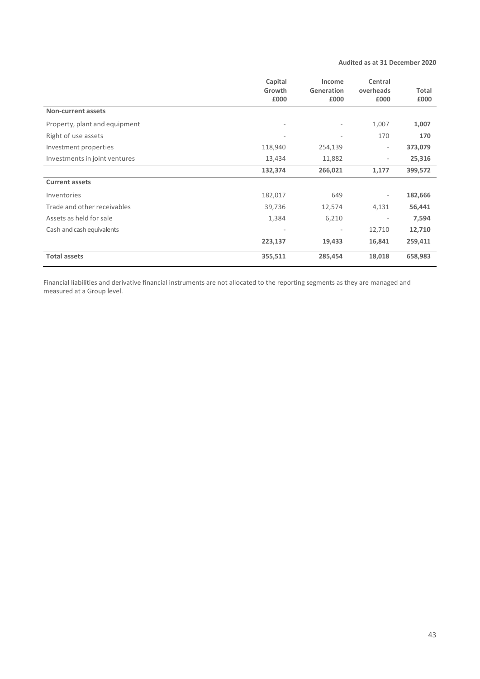|                               | Capital | Income     | Central                  |         |
|-------------------------------|---------|------------|--------------------------|---------|
|                               | Growth  | Generation | overheads                | Total   |
|                               | £000    | £000       | £000                     | £000    |
| <b>Non-current assets</b>     |         |            |                          |         |
| Property, plant and equipment |         |            | 1,007                    | 1,007   |
| Right of use assets           |         | ۰          | 170                      | 170     |
| Investment properties         | 118,940 | 254,139    | $\overline{\phantom{a}}$ | 373,079 |
| Investments in joint ventures | 13,434  | 11,882     | -                        | 25,316  |
|                               | 132,374 | 266,021    | 1,177                    | 399,572 |
| <b>Current assets</b>         |         |            |                          |         |
| Inventories                   | 182,017 | 649        | $\overline{\phantom{a}}$ | 182,666 |
| Trade and other receivables   | 39,736  | 12,574     | 4,131                    | 56,441  |
| Assets as held for sale       | 1,384   | 6,210      | $\overline{\phantom{a}}$ | 7,594   |
| Cash and cash equivalents     |         |            | 12,710                   | 12,710  |
|                               | 223,137 | 19,433     | 16,841                   | 259,411 |
| <b>Total assets</b>           | 355,511 | 285,454    | 18,018                   | 658,983 |

Financial liabilities and derivative financial instruments are not allocated to the reporting segments as they are managed and measured at a Group level.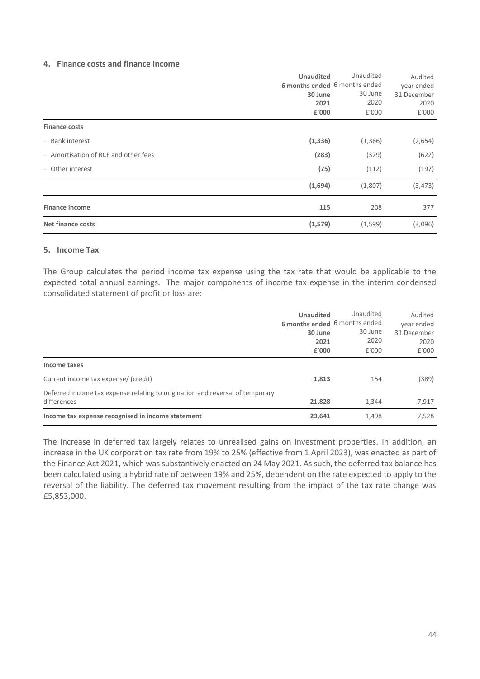#### **4. Finance costs and finance income**

|                                      | <b>Unaudited</b>              | Unaudited | Audited     |
|--------------------------------------|-------------------------------|-----------|-------------|
|                                      | 6 months ended 6 months ended |           | year ended  |
|                                      | 30 June                       | 30 June   | 31 December |
|                                      | 2021                          | 2020      | 2020        |
|                                      | £'000                         | £'000     | f'000       |
| <b>Finance costs</b>                 |                               |           |             |
| - Bank interest                      | (1, 336)                      | (1,366)   | (2,654)     |
| - Amortisation of RCF and other fees | (283)                         | (329)     | (622)       |
| - Other interest                     | (75)                          | (112)     | (197)       |
|                                      | (1,694)                       | (1,807)   | (3, 473)    |
| <b>Finance income</b>                | 115                           | 208       | 377         |
| <b>Net finance costs</b>             | (1, 579)                      | (1,599)   | (3,096)     |

#### **5. Income Tax**

The Group calculates the period income tax expense using the tax rate that would be applicable to the expected total annual earnings. The major components of income tax expense in the interim condensed consolidated statement of profit or loss are:

|                                                                               | <b>Unaudited</b> | Unaudited<br>6 months ended 6 months ended | Audited<br>year ended |
|-------------------------------------------------------------------------------|------------------|--------------------------------------------|-----------------------|
|                                                                               | 30 June          | 30 June                                    | 31 December           |
|                                                                               | 2021             | 2020                                       | 2020                  |
|                                                                               | £'000            | £'000                                      | f'000                 |
| Income taxes                                                                  |                  |                                            |                       |
| Current income tax expense/ (credit)                                          | 1,813            | 154                                        | (389)                 |
| Deferred income tax expense relating to origination and reversal of temporary |                  |                                            |                       |
| differences                                                                   | 21,828           | 1.344                                      | 7,917                 |
| Income tax expense recognised in income statement                             | 23,641           | 1,498                                      | 7,528                 |

The increase in deferred tax largely relates to unrealised gains on investment properties. In addition, an increase in the UK corporation tax rate from 19% to 25% (effective from 1 April 2023), was enacted as part of the Finance Act 2021, which was substantively enacted on 24 May 2021. As such, the deferred tax balance has been calculated using a hybrid rate of between 19% and 25%, dependent on the rate expected to apply to the reversal of the liability. The deferred tax movement resulting from the impact of the tax rate change was £5,853,000.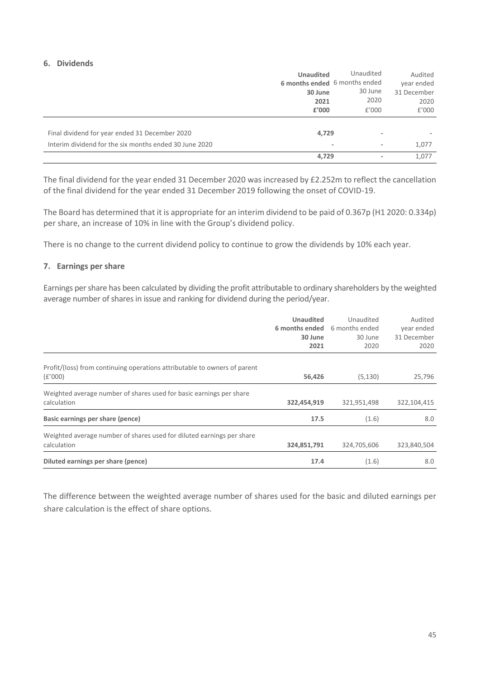#### **6. Dividends**

|                                                        | <b>Unaudited</b>              | Unaudited                     | Audited     |
|--------------------------------------------------------|-------------------------------|-------------------------------|-------------|
|                                                        | 6 months ended 6 months ended |                               | year ended  |
|                                                        | 30 June                       | 30 June                       | 31 December |
|                                                        | 2021                          | 2020                          | 2020        |
|                                                        | £'000                         | f'000                         | f'000       |
|                                                        |                               |                               |             |
| Final dividend for year ended 31 December 2020         | 4,729                         | ٠                             |             |
| Interim dividend for the six months ended 30 June 2020 |                               | $\overline{\phantom{a}}$<br>۰ | 1,077       |
|                                                        | 4,729                         | $\,$                          | 1.077       |

The final dividend for the year ended 31 December 2020 was increased by £2.252m to reflect the cancellation of the final dividend for the year ended 31 December 2019 following the onset of COVID-19.

The Board has determined that it is appropriate for an interim dividend to be paid of 0.367p (H1 2020: 0.334p) per share, an increase of 10% in line with the Group's dividend policy.

There is no change to the current dividend policy to continue to grow the dividends by 10% each year.

#### **7. Earnings per share**

Earnings per share has been calculated by dividing the profit attributable to ordinary shareholders by the weighted average number of shares in issue and ranking for dividend during the period/year.

|                                                                                      | <b>Unaudited</b><br>6 months ended<br>30 June<br>2021 | Unaudited<br>6 months ended<br>30 June<br>2020 | Audited<br>year ended<br>31 December<br>2020 |
|--------------------------------------------------------------------------------------|-------------------------------------------------------|------------------------------------------------|----------------------------------------------|
| Profit/(loss) from continuing operations attributable to owners of parent<br>(E'000) | 56,426                                                | (5, 130)                                       | 25,796                                       |
| Weighted average number of shares used for basic earnings per share<br>calculation   | 322,454,919                                           | 321,951,498                                    | 322,104,415                                  |
| Basic earnings per share (pence)                                                     | 17.5                                                  | (1.6)                                          | 8.0                                          |
| Weighted average number of shares used for diluted earnings per share<br>calculation | 324,851,791                                           | 324,705,606                                    | 323,840,504                                  |
| Diluted earnings per share (pence)                                                   | 17.4                                                  | (1.6)                                          | 8.0                                          |

The difference between the weighted average number of shares used for the basic and diluted earnings per share calculation is the effect of share options.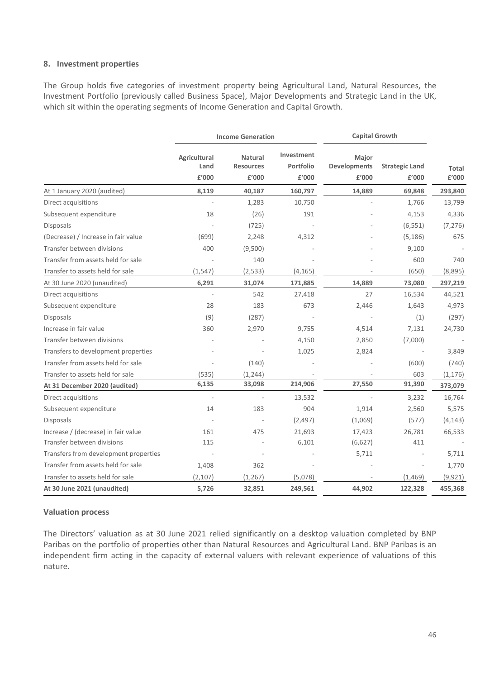#### **8. Investment properties**

The Group holds five categories of investment property being Agricultural Land, Natural Resources, the Investment Portfolio (previously called Business Space), Major Developments and Strategic Land in the UK, which sit within the operating segments of Income Generation and Capital Growth.

|                                       | <b>Income Generation</b>      |                                             |                                  | <b>Capital Growth</b>                 |                                |                |
|---------------------------------------|-------------------------------|---------------------------------------------|----------------------------------|---------------------------------------|--------------------------------|----------------|
|                                       | Agricultural<br>Land<br>£'000 | <b>Natural</b><br><b>Resources</b><br>£'000 | Investment<br>Portfolio<br>£'000 | Major<br><b>Developments</b><br>£'000 | <b>Strategic Land</b><br>£'000 | Total<br>£'000 |
| At 1 January 2020 (audited)           | 8,119                         | 40,187                                      | 160,797                          | 14,889                                | 69,848                         | 293,840        |
| Direct acquisitions                   |                               | 1,283                                       | 10,750                           |                                       | 1,766                          | 13,799         |
| Subsequent expenditure                | 18                            | (26)                                        | 191                              |                                       | 4,153                          | 4,336          |
| <b>Disposals</b>                      |                               | (725)                                       |                                  |                                       | (6, 551)                       | (7, 276)       |
| (Decrease) / Increase in fair value   | (699)                         | 2,248                                       | 4,312                            |                                       | (5, 186)                       | 675            |
| Transfer between divisions            | 400                           | (9,500)                                     |                                  |                                       | 9,100                          |                |
| Transfer from assets held for sale    |                               | 140                                         |                                  |                                       | 600                            | 740            |
| Transfer to assets held for sale      | (1, 547)                      | (2, 533)                                    | (4, 165)                         |                                       | (650)                          | (8,895)        |
| At 30 June 2020 (unaudited)           | 6,291                         | 31,074                                      | 171,885                          | 14,889                                | 73,080                         | 297,219        |
| Direct acquisitions                   |                               | 542                                         | 27,418                           | 27                                    | 16,534                         | 44,521         |
| Subsequent expenditure                | 28                            | 183                                         | 673                              | 2,446                                 | 1,643                          | 4,973          |
| <b>Disposals</b>                      | (9)                           | (287)                                       |                                  |                                       | (1)                            | (297)          |
| Increase in fair value                | 360                           | 2,970                                       | 9,755                            | 4,514                                 | 7,131                          | 24,730         |
| Transfer between divisions            |                               |                                             | 4,150                            | 2,850                                 | (7,000)                        |                |
| Transfers to development properties   |                               |                                             | 1,025                            | 2,824                                 |                                | 3,849          |
| Transfer from assets held for sale    |                               | (140)                                       |                                  |                                       | (600)                          | (740)          |
| Transfer to assets held for sale      | (535)                         | (1, 244)                                    |                                  |                                       | 603                            | (1, 176)       |
| At 31 December 2020 (audited)         | 6,135                         | 33,098                                      | 214,906                          | 27,550                                | 91,390                         | 373,079        |
| Direct acquisitions                   |                               |                                             | 13,532                           |                                       | 3,232                          | 16,764         |
| Subsequent expenditure                | 14                            | 183                                         | 904                              | 1,914                                 | 2,560                          | 5,575          |
| <b>Disposals</b>                      |                               |                                             | (2, 497)                         | (1,069)                               | (577)                          | (4, 143)       |
| Increase / (decrease) in fair value   | 161                           | 475                                         | 21,693                           | 17,423                                | 26,781                         | 66,533         |
| Transfer between divisions            | 115                           |                                             | 6,101                            | (6,627)                               | 411                            |                |
| Transfers from development properties |                               |                                             |                                  | 5,711                                 |                                | 5,711          |
| Transfer from assets held for sale    | 1,408                         | 362                                         |                                  |                                       |                                | 1,770          |
| Transfer to assets held for sale      | (2, 107)                      | (1, 267)                                    | (5,078)                          |                                       | (1,469)                        | (9, 921)       |
| At 30 June 2021 (unaudited)           | 5,726                         | 32,851                                      | 249,561                          | 44,902                                | 122,328                        | 455,368        |

#### **Valuation process**

The Directors' valuation as at 30 June 2021 relied significantly on a desktop valuation completed by BNP Paribas on the portfolio of properties other than Natural Resources and Agricultural Land. BNP Paribas is an independent firm acting in the capacity of external valuers with relevant experience of valuations of this nature.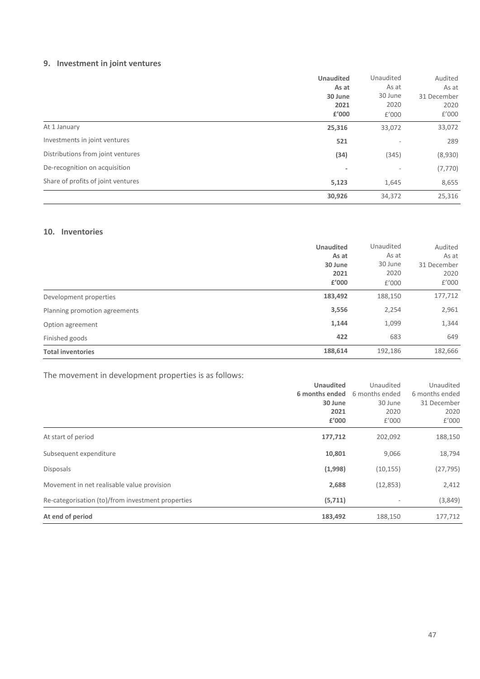#### **9. Investment in joint ventures**

|                                    | <b>Unaudited</b>         | Unaudited | Audited     |
|------------------------------------|--------------------------|-----------|-------------|
|                                    | As at                    | As at     | As at       |
|                                    | 30 June                  | 30 June   | 31 December |
|                                    | 2021                     | 2020      | 2020        |
|                                    | £'000                    | f'000     | E'000       |
| At 1 January                       | 25,316                   | 33,072    | 33,072      |
| Investments in joint ventures      | 521                      | ۰         | 289         |
| Distributions from joint ventures  | (34)                     | (345)     | (8,930)     |
| De-recognition on acquisition      | $\overline{\phantom{a}}$ | ۰         | (7, 770)    |
| Share of profits of joint ventures | 5,123                    | 1,645     | 8,655       |
|                                    | 30,926                   | 34,372    | 25.316      |

#### **10. Inventories**

|                               | <b>Unaudited</b> | Unaudited | Audited     |
|-------------------------------|------------------|-----------|-------------|
|                               | As at            | As at     | As at       |
|                               | 30 June          | 30 June   | 31 December |
|                               | 2021             | 2020      | 2020        |
|                               | £'000            | f'000     | £'000       |
| Development properties        | 183,492          | 188,150   | 177,712     |
| Planning promotion agreements | 3,556            | 2,254     | 2,961       |
| Option agreement              | 1,144            | 1,099     | 1,344       |
| Finished goods                | 422              | 683       | 649         |
| <b>Total inventories</b>      | 188,614          | 192,186   | 182,666     |

The movement in development properties is as follows:

|                                                   | <b>Unaudited</b> | Unaudited      | Unaudited      |
|---------------------------------------------------|------------------|----------------|----------------|
|                                                   | 6 months ended   | 6 months ended | 6 months ended |
|                                                   | 30 June          | 30 June        | 31 December    |
|                                                   | 2021             | 2020           | 2020           |
|                                                   | £'000            | f'000          | £'000          |
| At start of period                                | 177,712          | 202,092        | 188,150        |
| Subsequent expenditure                            | 10,801           | 9,066          | 18,794         |
| <b>Disposals</b>                                  | (1,998)          | (10, 155)      | (27, 795)      |
| Movement in net realisable value provision        | 2,688            | (12, 853)      | 2,412          |
| Re-categorisation (to)/from investment properties | (5,711)          |                | (3,849)        |
| At end of period                                  | 183,492          | 188,150        | 177,712        |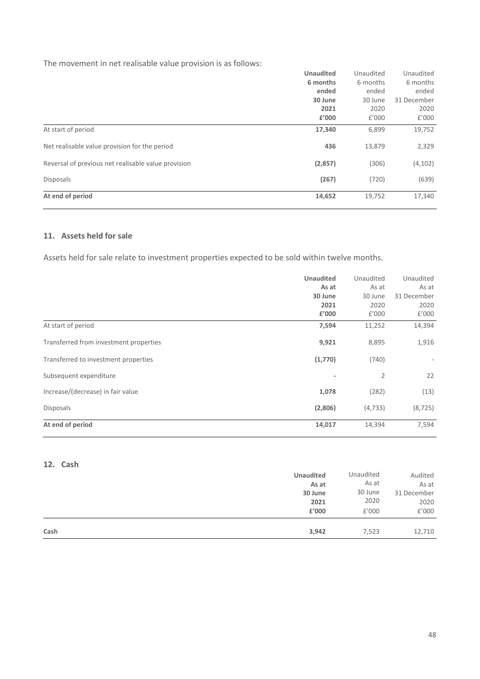The movement in net realisable value provision is as follows:

|                                                     | <b>Unaudited</b> | Unaudited | Unaudited   |
|-----------------------------------------------------|------------------|-----------|-------------|
|                                                     | 6 months         | 6 months  | 6 months    |
|                                                     | ended            | ended     | ended       |
|                                                     | 30 June          | 30 June   | 31 December |
|                                                     | 2021             | 2020      | 2020        |
|                                                     | £'000            | f'000     | f'000       |
| At start of period                                  | 17,340           | 6,899     | 19,752      |
| Net realisable value provision for the period       | 436              | 13,879    | 2,329       |
| Reversal of previous net realisable value provision | (2,857)          | (306)     | (4, 102)    |
| <b>Disposals</b>                                    | (267)            | (720)     | (639)       |
| At end of period                                    | 14,652           | 19,752    | 17,340      |

#### **11. Assets held for sale**

Assets held for sale relate to investment properties expected to be sold within twelve months.

|                                        | <b>Unaudited</b> | Unaudited      | Unaudited                |
|----------------------------------------|------------------|----------------|--------------------------|
|                                        | As at            | As at          | As at                    |
|                                        | 30 June          | 30 June        | 31 December              |
|                                        | 2021             | 2020           | 2020                     |
|                                        | £'000            | £'000          | £'000                    |
| At start of period                     | 7,594            | 11,252         | 14,394                   |
| Transferred from investment properties | 9,921            | 8,895          | 1,916                    |
| Transferred to investment properties   | (1,770)          | (740)          | $\overline{\phantom{a}}$ |
| Subsequent expenditure                 |                  | $\overline{2}$ | 22                       |
| Increase/(decrease) in fair value      | 1,078            | (282)          | (13)                     |
| <b>Disposals</b>                       | (2,806)          | (4, 733)       | (8, 725)                 |
| At end of period                       | 14,017           | 14,394         | 7,594                    |

#### **12. Cash**

| Cash | 3,942            | 7,523     | 12,710      |
|------|------------------|-----------|-------------|
|      | £'000            | f'000     | £'000       |
|      | 2021             | 2020      | 2020        |
|      | 30 June          | 30 June   | 31 December |
|      | As at            | As at     | As at       |
|      | <b>Unaudited</b> | Unaudited | Audited     |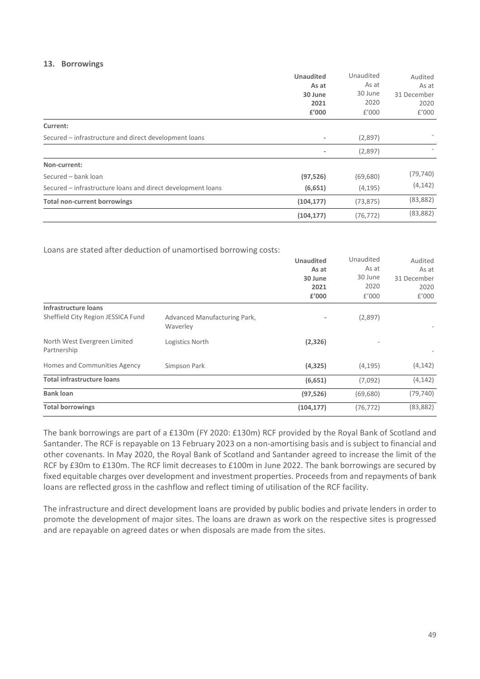#### **13. Borrowings**

|                                                             | <b>Unaudited</b> | Unaudited | Audited     |
|-------------------------------------------------------------|------------------|-----------|-------------|
|                                                             | As at            | As at     | As at       |
|                                                             | 30 June          | 30 June   | 31 December |
|                                                             | 2021             | 2020      | 2020        |
|                                                             | £'000            | f'000     | f'000       |
| Current:                                                    |                  |           |             |
| Secured – infrastructure and direct development loans       | ٠                | (2,897)   |             |
|                                                             | ٠                | (2,897)   |             |
| Non-current:                                                |                  |           |             |
| Secured - bank loan                                         | (97, 526)        | (69, 680) | (79, 740)   |
| Secured – infrastructure loans and direct development loans | (6,651)          | (4, 195)  | (4, 142)    |
| <b>Total non-current borrowings</b>                         | (104, 177)       | (73, 875) | (83, 882)   |
|                                                             | (104, 177)       | (76, 772) | (83, 882)   |

Loans are stated after deduction of unamortised borrowing costs:

|                                             |                                          | <b>Unaudited</b>         | Unaudited | Audited     |
|---------------------------------------------|------------------------------------------|--------------------------|-----------|-------------|
|                                             |                                          | As at                    | As at     | As at       |
|                                             |                                          | 30 June                  | 30 June   | 31 December |
|                                             |                                          | 2021                     | 2020      | 2020        |
|                                             |                                          | £'000                    | f'000     | f'000       |
| Infrastructure loans                        |                                          |                          |           |             |
| Sheffield City Region JESSICA Fund          | Advanced Manufacturing Park,<br>Waverley | $\overline{\phantom{a}}$ | (2,897)   |             |
| North West Evergreen Limited<br>Partnership | Logistics North                          | (2, 326)                 |           |             |
| Homes and Communities Agency                | Simpson Park                             | (4, 325)                 | (4, 195)  | (4, 142)    |
| <b>Total infrastructure loans</b>           |                                          | (6,651)                  | (7,092)   | (4, 142)    |
| <b>Bank loan</b>                            |                                          | (97, 526)                | (69, 680) | (79, 740)   |
| <b>Total borrowings</b>                     |                                          | (104, 177)               | (76, 772) | (83, 882)   |

The bank borrowings are part of a £130m (FY 2020: £130m) RCF provided by the Royal Bank of Scotland and Santander. The RCF is repayable on 13 February 2023 on a non-amortising basis and is subject to financial and other covenants. In May 2020, the Royal Bank of Scotland and Santander agreed to increase the limit of the RCF by £30m to £130m. The RCF limit decreases to £100m in June 2022. The bank borrowings are secured by fixed equitable charges over development and investment properties. Proceeds from and repayments of bank loans are reflected gross in the cashflow and reflect timing of utilisation of the RCF facility.

The infrastructure and direct development loans are provided by public bodies and private lenders in order to promote the development of major sites. The loans are drawn as work on the respective sites is progressed and are repayable on agreed dates or when disposals are made from the sites.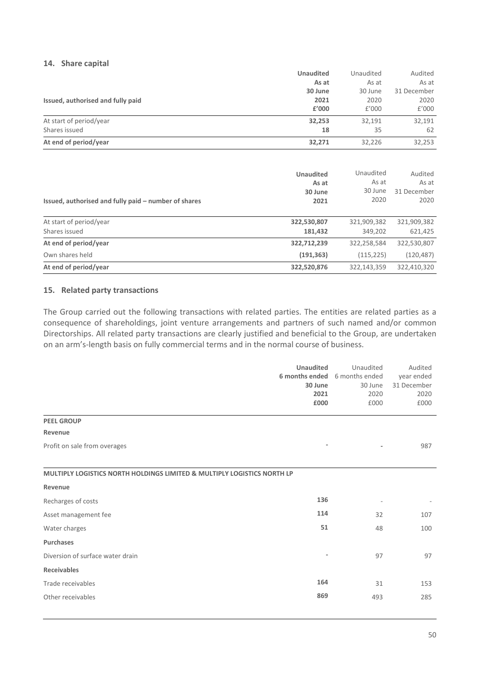#### **14. Share capital**

|                                   | <b>Unaudited</b> | Unaudited | Audited     |
|-----------------------------------|------------------|-----------|-------------|
|                                   | As at            | As at     | As at       |
|                                   | 30 June          | 30 June   | 31 December |
| Issued, authorised and fully paid | 2021             | 2020      | 2020        |
|                                   | £'000            | £'000     | f'000       |
| At start of period/year           | 32,253           | 32,191    | 32,191      |
| Shares issued                     | 18               | 35        | 62          |
| At end of period/year             | 32,271           | 32,226    | 32,253      |

| Issued, authorised and fully paid – number of shares | <b>Unaudited</b><br>As at<br>30 June<br>2021 | Unaudited<br>As at<br>30 June<br>2020 | Audited<br>As at<br>31 December<br>2020 |
|------------------------------------------------------|----------------------------------------------|---------------------------------------|-----------------------------------------|
| At start of period/year                              | 322,530,807                                  | 321,909,382                           | 321,909,382                             |
| Shares issued                                        | 181,432                                      | 349,202                               | 621,425                                 |
| At end of period/year                                | 322,712,239                                  | 322,258,584                           | 322,530,807                             |
| Own shares held                                      | (191, 363)                                   | (115, 225)                            | (120, 487)                              |
| At end of period/year                                | 322,520,876                                  | 322,143,359                           | 322,410,320                             |

#### **15. Related party transactions**

The Group carried out the following transactions with related parties. The entities are related parties as a consequence of shareholdings, joint venture arrangements and partners of such named and/or common Directorships. All related party transactions are clearly justified and beneficial to the Group, are undertaken on an arm's-length basis on fully commercial terms and in the normal course of business.

|                                                                         | <b>Unaudited</b><br>6 months ended<br>30 June<br>2021<br>£000 | Unaudited<br>6 months ended<br>30 June<br>2020<br>£000 | Audited<br>year ended<br>31 December<br>2020<br>£000 |
|-------------------------------------------------------------------------|---------------------------------------------------------------|--------------------------------------------------------|------------------------------------------------------|
| <b>PEEL GROUP</b>                                                       |                                                               |                                                        |                                                      |
| Revenue                                                                 |                                                               |                                                        |                                                      |
| Profit on sale from overages                                            |                                                               |                                                        | 987                                                  |
| MULTIPLY LOGISTICS NORTH HOLDINGS LIMITED & MULTIPLY LOGISTICS NORTH LP |                                                               |                                                        |                                                      |
| Revenue                                                                 |                                                               |                                                        |                                                      |
| Recharges of costs                                                      | 136                                                           |                                                        |                                                      |
| Asset management fee                                                    | 114                                                           | 32                                                     | 107                                                  |
| Water charges                                                           | 51                                                            | 48                                                     | 100                                                  |
| <b>Purchases</b>                                                        |                                                               |                                                        |                                                      |
| Diversion of surface water drain                                        |                                                               | 97                                                     | 97                                                   |
| <b>Receivables</b>                                                      |                                                               |                                                        |                                                      |
| Trade receivables                                                       | 164                                                           | 31                                                     | 153                                                  |
| Other receivables                                                       | 869                                                           | 493                                                    | 285                                                  |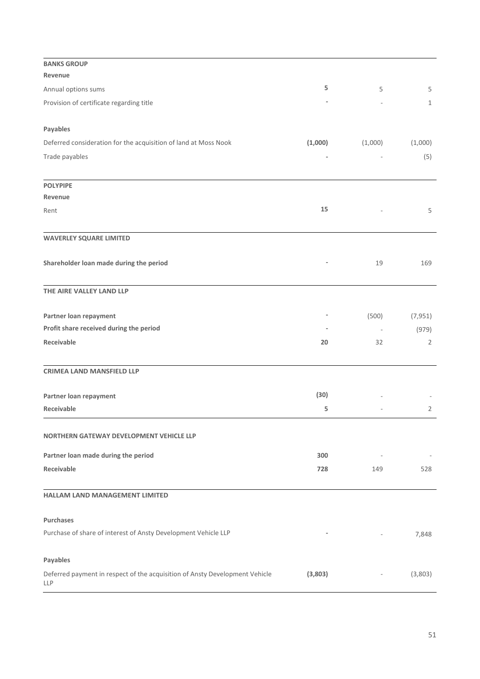| <b>BANKS GROUP</b>                                                                        |         |                          |                |
|-------------------------------------------------------------------------------------------|---------|--------------------------|----------------|
| Revenue                                                                                   |         |                          |                |
| Annual options sums                                                                       | 5       | 5                        | 5              |
| Provision of certificate regarding title                                                  |         |                          | $\mathbf{1}$   |
| Payables                                                                                  |         |                          |                |
| Deferred consideration for the acquisition of land at Moss Nook                           | (1,000) | (1,000)                  | (1,000)        |
| Trade payables                                                                            |         |                          | (5)            |
| <b>POLYPIPE</b>                                                                           |         |                          |                |
| Revenue                                                                                   |         |                          |                |
| Rent                                                                                      | 15      |                          | 5              |
| <b>WAVERLEY SQUARE LIMITED</b>                                                            |         |                          |                |
| Shareholder loan made during the period                                                   |         | 19                       | 169            |
| THE AIRE VALLEY LAND LLP                                                                  |         |                          |                |
| Partner loan repayment                                                                    |         | (500)                    | (7, 951)       |
| Profit share received during the period                                                   |         | $\overline{\phantom{a}}$ | (979)          |
| Receivable                                                                                | 20      | 32                       | $\overline{2}$ |
| <b>CRIMEA LAND MANSFIELD LLP</b>                                                          |         |                          |                |
| Partner loan repayment                                                                    | (30)    |                          |                |
| Receivable                                                                                | 5       |                          | $\overline{2}$ |
| NORTHERN GATEWAY DEVELOPMENT VEHICLE LLP                                                  |         |                          |                |
| Partner loan made during the period                                                       | 300     |                          |                |
| Receivable                                                                                | 728     | 149                      | 528            |
| HALLAM LAND MANAGEMENT LIMITED                                                            |         |                          |                |
| <b>Purchases</b>                                                                          |         |                          |                |
| Purchase of share of interest of Ansty Development Vehicle LLP                            |         |                          | 7,848          |
| Payables                                                                                  |         |                          |                |
| Deferred payment in respect of the acquisition of Ansty Development Vehicle<br><b>LLP</b> | (3,803) |                          | (3,803)        |